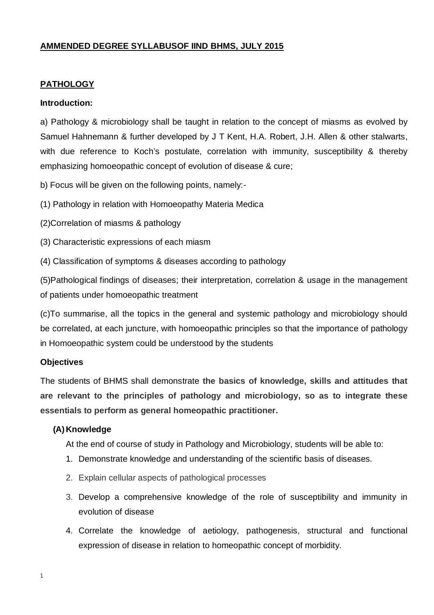#### **AMMENDED DEGREE SYLLABUSOF IIND BHMS, JULY 2015**

#### **PATHOLOGY**

#### **Introduction:**

a) Pathology & microbiology shall be taught in relation to the concept of miasms as evolved by Samuel Hahnemann & further developed by J T Kent, H.A. Robert, J.H. Allen & other stalwarts, with due reference to Koch's postulate, correlation with immunity, susceptibility & thereby emphasizing homoeopathic concept of evolution of disease & cure;

b) Focus will be given on the following points, namely:-

(1) Pathology in relation with Homoeopathy Materia Medica

- (2)Correlation of miasms & pathology
- (3) Characteristic expressions of each miasm
- (4) Classification of symptoms & diseases according to pathology

(5)Pathological findings of diseases; their interpretation, correlation & usage in the management of patients under homoeopathic treatment

(c)To summarise, all the topics in the general and systemic pathology and microbiology should be correlated, at each juncture, with homoeopathic principles so that the importance of pathology in Homoeopathic system could be understood by the students

#### **Objectives**

The students of BHMS shall demonstrate **the basics of knowledge, skills and attitudes that are relevant to the principles of pathology and microbiology, so as to integrate these essentials to perform as general homeopathic practitioner.**

#### **(A)Knowledge**

At the end of course of study in Pathology and Microbiology, students will be able to:

- 1. Demonstrate knowledge and understanding of the scientific basis of diseases.
- 2. Explain cellular aspects of pathological processes
- 3. Develop a comprehensive knowledge of the role of susceptibility and immunity in evolution of disease
- 4. Correlate the knowledge of aetiology, pathogenesis, structural and functional expression of disease in relation to homeopathic concept of morbidity.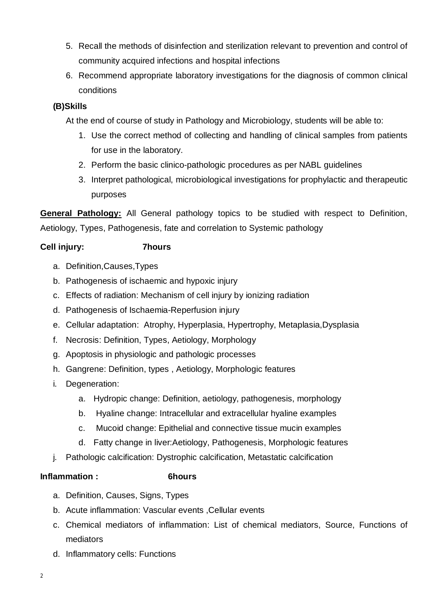- 5. Recall the methods of disinfection and sterilization relevant to prevention and control of community acquired infections and hospital infections
- 6. Recommend appropriate laboratory investigations for the diagnosis of common clinical conditions

# **(B)Skills**

At the end of course of study in Pathology and Microbiology, students will be able to:

- 1. Use the correct method of collecting and handling of clinical samples from patients for use in the laboratory.
- 2. Perform the basic clinico-pathologic procedures as per NABL guidelines
- 3. Interpret pathological, microbiological investigations for prophylactic and therapeutic purposes

**General Pathology:** All General pathology topics to be studied with respect to Definition, Aetiology, Types, Pathogenesis, fate and correlation to Systemic pathology

# **Cell injury: 7hours**

- a. Definition,Causes,Types
- b. Pathogenesis of ischaemic and hypoxic injury
- c. Effects of radiation: Mechanism of cell injury by ionizing radiation
- d. Pathogenesis of Ischaemia-Reperfusion injury
- e. Cellular adaptation: Atrophy, Hyperplasia, Hypertrophy, Metaplasia,Dysplasia
- f. Necrosis: Definition, Types, Aetiology, Morphology
- g. Apoptosis in physiologic and pathologic processes
- h. Gangrene: Definition, types , Aetiology, Morphologic features
- i. Degeneration:
	- a. Hydropic change: Definition, aetiology, pathogenesis, morphology
	- b. Hyaline change: Intracellular and extracellular hyaline examples
	- c. Mucoid change: Epithelial and connective tissue mucin examples
	- d. Fatty change in liver:Aetiology, Pathogenesis, Morphologic features
- j. Pathologic calcification: Dystrophic calcification, Metastatic calcification

#### **Inflammation : 6hours**

- a. Definition, Causes, Signs, Types
- b. Acute inflammation: Vascular events ,Cellular events
- c. Chemical mediators of inflammation: List of chemical mediators, Source, Functions of mediators
- d. Inflammatory cells: Functions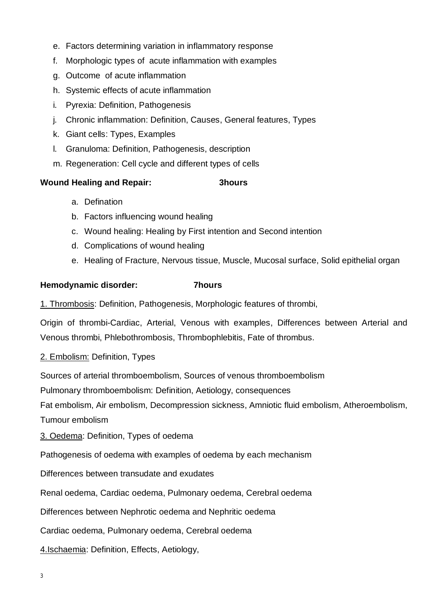- e. Factors determining variation in inflammatory response
- f. Morphologic types of acute inflammation with examples
- g. Outcome of acute inflammation
- h. Systemic effects of acute inflammation
- i. Pyrexia: Definition, Pathogenesis
- j. Chronic inflammation: Definition, Causes, General features, Types
- k. Giant cells: Types, Examples
- l. Granuloma: Definition, Pathogenesis, description
- m. Regeneration: Cell cycle and different types of cells

#### **Wound Healing and Repair: 3hours**

- a. Defination
- b. Factors influencing wound healing
- c. Wound healing: Healing by First intention and Second intention
- d. Complications of wound healing
- e. Healing of Fracture, Nervous tissue, Muscle, Mucosal surface, Solid epithelial organ

#### **Hemodynamic disorder: 7hours**

1. Thrombosis: Definition, Pathogenesis, Morphologic features of thrombi,

Origin of thrombi-Cardiac, Arterial, Venous with examples, Differences between Arterial and Venous thrombi, Phlebothrombosis, Thrombophlebitis, Fate of thrombus.

2. Embolism: Definition, Types

Sources of arterial thromboembolism, Sources of venous thromboembolism

Pulmonary thromboembolism: Definition, Aetiology, consequences

Fat embolism, Air embolism, Decompression sickness, Amniotic fluid embolism, Atheroembolism, Tumour embolism

3. Oedema: Definition, Types of oedema

Pathogenesis of oedema with examples of oedema by each mechanism

Differences between transudate and exudates

Renal oedema, Cardiac oedema, Pulmonary oedema, Cerebral oedema

Differences between Nephrotic oedema and Nephritic oedema

Cardiac oedema, Pulmonary oedema, Cerebral oedema

4.Ischaemia: Definition, Effects, Aetiology,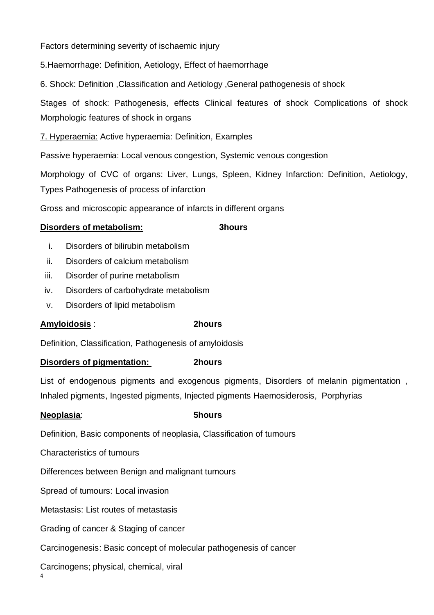Factors determining severity of ischaemic injury

5.Haemorrhage: Definition, Aetiology, Effect of haemorrhage

6. Shock: Definition ,Classification and Aetiology ,General pathogenesis of shock

Stages of shock: Pathogenesis, effects Clinical features of shock Complications of shock Morphologic features of shock in organs

7. Hyperaemia: Active hyperaemia: Definition, Examples

Passive hyperaemia: Local venous congestion, Systemic venous congestion

Morphology of CVC of organs: Liver, Lungs, Spleen, Kidney Infarction: Definition, Aetiology, Types Pathogenesis of process of infarction

Gross and microscopic appearance of infarcts in different organs

#### **Disorders of metabolism: 3hours**

- i. Disorders of bilirubin metabolism
- ii. Disorders of calcium metabolism
- iii. Disorder of purine metabolism
- iv. Disorders of carbohydrate metabolism
- v. Disorders of lipid metabolism

#### **Amyloidosis** : **2hours**

Definition, Classification, Pathogenesis of amyloidosis

#### **Disorders of pigmentation: 2hours**

List of endogenous pigments and exogenous pigments, Disorders of melanin pigmentation , Inhaled pigments, Ingested pigments, Injected pigments Haemosiderosis, Porphyrias

#### **Neoplasia**: **5hours**

Definition, Basic components of neoplasia, Classification of tumours

Characteristics of tumours

Differences between Benign and malignant tumours

Spread of tumours: Local invasion

Metastasis: List routes of metastasis

Grading of cancer & Staging of cancer

Carcinogenesis: Basic concept of molecular pathogenesis of cancer

Carcinogens; physical, chemical, viral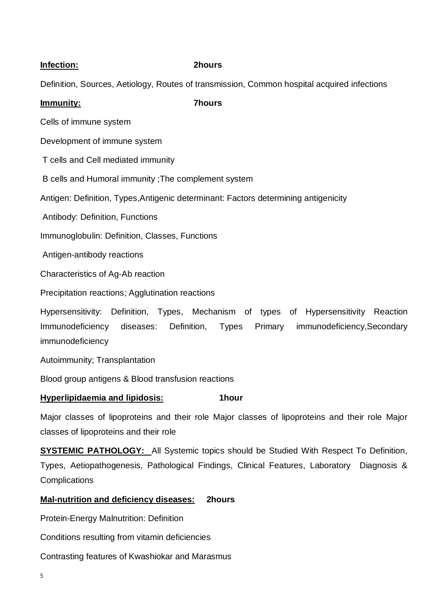#### **Infection: 2hours**

Definition, Sources, Aetiology, Routes of transmission, Common hospital acquired infections

#### **Immunity: 7hours**

Cells of immune system

Development of immune system

T cells and Cell mediated immunity

B cells and Humoral immunity ;The complement system

Antigen: Definition, Types,Antigenic determinant: Factors determining antigenicity

Antibody: Definition, Functions

Immunoglobulin: Definition, Classes, Functions

Antigen-antibody reactions

Characteristics of Ag-Ab reaction

Precipitation reactions; Agglutination reactions

Hypersensitivity: Definition, Types, Mechanism of types of Hypersensitivity Reaction Immunodeficiency diseases: Definition, Types Primary immunodeficiency,Secondary immunodeficiency

Autoimmunity; Transplantation

Blood group antigens & Blood transfusion reactions

#### **Hyperlipidaemia and lipidosis: 1hour**

Major classes of lipoproteins and their role Major classes of lipoproteins and their role Major classes of lipoproteins and their role

**SYSTEMIC PATHOLOGY:** All Systemic topics should be Studied With Respect To Definition, Types, Aetiopathogenesis, Pathological Findings, Clinical Features, Laboratory Diagnosis & **Complications** 

#### **Mal-nutrition and deficiency diseases: 2hours**

Protein-Energy Malnutrition: Definition

Conditions resulting from vitamin deficiencies

Contrasting features of Kwashiokar and Marasmus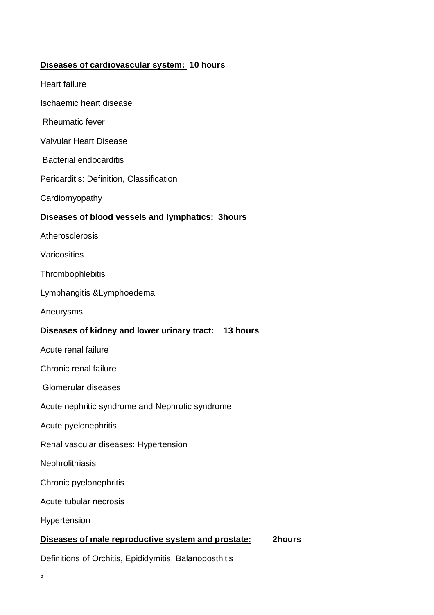#### **Diseases of cardiovascular system: 10 hours**

- Heart failure
- Ischaemic heart disease
- Rheumatic fever
- Valvular Heart Disease
- Bacterial endocarditis
- Pericarditis: Definition, Classification
- **Cardiomyopathy**

## **Diseases of blood vessels and lymphatics: 3hours**

- **Atherosclerosis**
- Varicosities
- **Thrombophlebitis**
- Lymphangitis &Lymphoedema
- Aneurysms

# **Diseases of kidney and lower urinary tract: 13 hours**

- Acute renal failure
- Chronic renal failure
- Glomerular diseases
- Acute nephritic syndrome and Nephrotic syndrome
- Acute pyelonephritis
- Renal vascular diseases: Hypertension
- **Nephrolithiasis**
- Chronic pyelonephritis
- Acute tubular necrosis
- Hypertension

#### **Diseases of male reproductive system and prostate: 2hours**

Definitions of Orchitis, Epididymitis, Balanoposthitis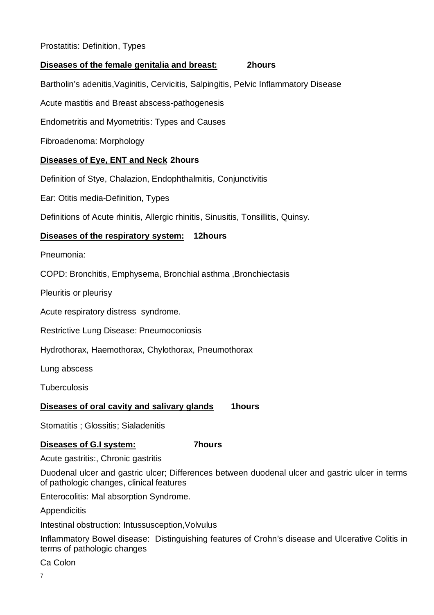#### Prostatitis: Definition, Types

#### **Diseases of the female genitalia and breast: 2hours**

Bartholin's adenitis,Vaginitis, Cervicitis, Salpingitis, Pelvic Inflammatory Disease

Acute mastitis and Breast abscess-pathogenesis

Endometritis and Myometritis: Types and Causes

Fibroadenoma: Morphology

#### **Diseases of Eye, ENT and Neck 2hours**

Definition of Stye, Chalazion, Endophthalmitis, Conjunctivitis

Ear: Otitis media-Definition, Types

Definitions of Acute rhinitis, Allergic rhinitis, Sinusitis, Tonsillitis, Quinsy.

#### **Diseases of the respiratory system: 12hours**

Pneumonia:

COPD: Bronchitis, Emphysema, Bronchial asthma ,Bronchiectasis

Pleuritis or pleurisy

Acute respiratory distress syndrome.

Restrictive Lung Disease: Pneumoconiosis

Hydrothorax, Haemothorax, Chylothorax, Pneumothorax

Lung abscess

**Tuberculosis** 

#### **Diseases of oral cavity and salivary glands** 1hours

Stomatitis ; Glossitis; Sialadenitis

#### **Diseases of G.I system: 7hours**

Acute gastritis:, Chronic gastritis

Duodenal ulcer and gastric ulcer; Differences between duodenal ulcer and gastric ulcer in terms of pathologic changes, clinical features

Enterocolitis: Mal absorption Syndrome.

**Appendicitis** 

Intestinal obstruction: Intussusception,Volvulus

Inflammatory Bowel disease: Distinguishing features of Crohn's disease and Ulcerative Colitis in terms of pathologic changes

Ca Colon

7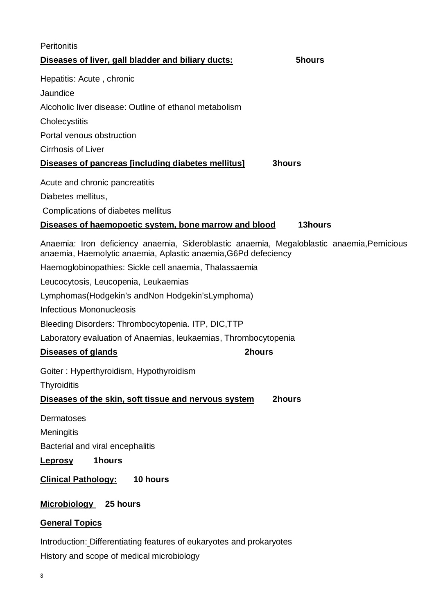| Peritonitis                                                                                                                                                  |               |
|--------------------------------------------------------------------------------------------------------------------------------------------------------------|---------------|
| Diseases of liver, gall bladder and biliary ducts:                                                                                                           | 5hours        |
| Hepatitis: Acute, chronic                                                                                                                                    |               |
| Jaundice                                                                                                                                                     |               |
| Alcoholic liver disease: Outline of ethanol metabolism                                                                                                       |               |
| Cholecystitis                                                                                                                                                |               |
| Portal venous obstruction                                                                                                                                    |               |
| <b>Cirrhosis of Liver</b>                                                                                                                                    |               |
| Diseases of pancreas [including diabetes mellitus]                                                                                                           | <b>3hours</b> |
| Acute and chronic pancreatitis                                                                                                                               |               |
| Diabetes mellitus,                                                                                                                                           |               |
| Complications of diabetes mellitus                                                                                                                           |               |
| Diseases of haemopoetic system, bone marrow and blood                                                                                                        | 13hours       |
| Anaemia: Iron deficiency anaemia, Sideroblastic anaemia, Megaloblastic anaemia, Pernicious<br>anaemia, Haemolytic anaemia, Aplastic anaemia, G6Pd defeciency |               |
| Haemoglobinopathies: Sickle cell anaemia, Thalassaemia                                                                                                       |               |
| Leucocytosis, Leucopenia, Leukaemias                                                                                                                         |               |
| Lymphomas (Hodgekin's and Non Hodgekin's Lymphoma)                                                                                                           |               |
| <b>Infectious Mononucleosis</b>                                                                                                                              |               |
| Bleeding Disorders: Thrombocytopenia. ITP, DIC, TTP                                                                                                          |               |
| Laboratory evaluation of Anaemias, leukaemias, Thrombocytopenia                                                                                              |               |
| <b>Diseases of glands</b><br>2hours                                                                                                                          |               |
| Goiter: Hyperthyroidism, Hypothyroidism                                                                                                                      |               |
| <b>Thyroiditis</b>                                                                                                                                           |               |
| Diseases of the skin, soft tissue and nervous system                                                                                                         | 2hours        |
| Dermatoses                                                                                                                                                   |               |
| Meningitis                                                                                                                                                   |               |
| Bacterial and viral encephalitis                                                                                                                             |               |
| 1hours<br><b>Leprosy</b>                                                                                                                                     |               |
| <b>Clinical Pathology:</b><br>10 hours                                                                                                                       |               |
| <b>Microbiology</b><br>25 hours                                                                                                                              |               |
| <b>General Topics</b>                                                                                                                                        |               |

Introduction: Differentiating features of eukaryotes and prokaryotes History and scope of medical microbiology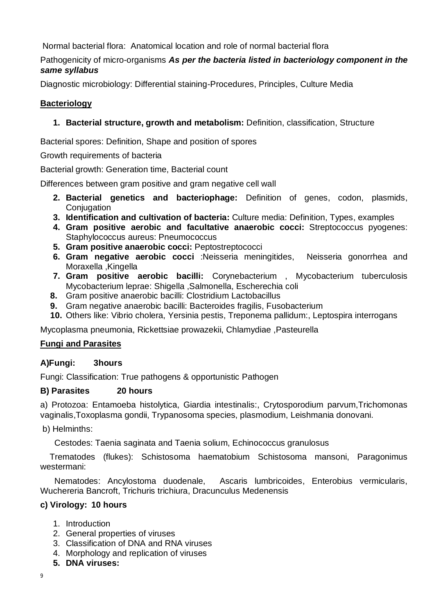Normal bacterial flora: Anatomical location and role of normal bacterial flora

## Pathogenicity of micro-organisms *As per the bacteria listed in bacteriology component in the same syllabus*

Diagnostic microbiology: Differential staining-Procedures, Principles, Culture Media

# **Bacteriology**

# **1. Bacterial structure, growth and metabolism:** Definition, classification, Structure

Bacterial spores: Definition, Shape and position of spores

Growth requirements of bacteria

Bacterial growth: Generation time, Bacterial count

Differences between gram positive and gram negative cell wall

- **2. Bacterial genetics and bacteriophage:** Definition of genes, codon, plasmids, **Conjugation**
- **3. Identification and cultivation of bacteria:** Culture media: Definition, Types, examples
- **4. Gram positive aerobic and facultative anaerobic cocci:** Streptococcus pyogenes: Staphylococcus aureus: Pneumococcus
- **5. Gram positive anaerobic cocci:** Peptostreptococci
- **6. Gram negative aerobic cocci** :Neisseria meningitides, Neisseria gonorrhea and Moraxella ,Kingella
- **7. Gram positive aerobic bacilli:** Corynebacterium , Mycobacterium tuberculosis Mycobacterium leprae: Shigella ,Salmonella, Escherechia coli
- **8.** Gram positive anaerobic bacilli: Clostridium Lactobacillus
- **9.** Gram negative anaerobic bacilli: Bacteroides fragilis, Fusobacterium
- **10.** Others like: Vibrio cholera, Yersinia pestis, Treponema pallidum:, Leptospira interrogans

Mycoplasma pneumonia, Rickettsiae prowazekii, Chlamydiae ,Pasteurella

# **Fungi and Parasites**

# **A)Fungi: 3hours**

Fungi: Classification: True pathogens & opportunistic Pathogen

# **B) Parasites 20 hours**

a) Protozoa: Entamoeba histolytica, Giardia intestinalis:, Crytosporodium parvum,Trichomonas vaginalis,Toxoplasma gondii, Trypanosoma species, plasmodium, Leishmania donovani.

b) Helminths:

Cestodes: Taenia saginata and Taenia solium, Echinococcus granulosus

Trematodes (flukes): Schistosoma haematobium Schistosoma mansoni, Paragonimus westermani:

 Nematodes: Ancylostoma duodenale, Ascaris lumbricoides, Enterobius vermicularis, Wuchereria Bancroft, Trichuris trichiura, Dracunculus Medenensis

# **c) Virology: 10 hours**

- 1. Introduction
- 2. General properties of viruses
- 3. Classification of DNA and RNA viruses
- 4. Morphology and replication of viruses
- **5. DNA viruses:**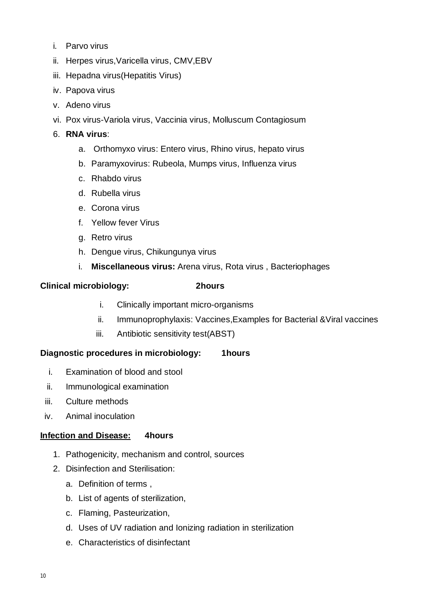- i. Parvo virus
- ii. Herpes virus,Varicella virus, CMV,EBV
- iii. Hepadna virus(Hepatitis Virus)
- iv. Papova virus
- v. Adeno virus
- vi. Pox virus-Variola virus, Vaccinia virus, Molluscum Contagiosum

#### 6. **RNA virus**:

- a. Orthomyxo virus: Entero virus, Rhino virus, hepato virus
- b. Paramyxovirus: Rubeola, Mumps virus, Influenza virus
- c. Rhabdo virus
- d. Rubella virus
- e. Corona virus
- f. Yellow fever Virus
- g. Retro virus
- h. Dengue virus, Chikungunya virus
- i. **Miscellaneous virus:** Arena virus, Rota virus , Bacteriophages

#### **Clinical microbiology: 2hours**

- i. Clinically important micro-organisms
- ii. Immunoprophylaxis: Vaccines,Examples for Bacterial &Viral vaccines
- iii. Antibiotic sensitivity test(ABST)

#### **Diagnostic procedures in microbiology: 1hours**

- i. Examination of blood and stool
- ii. Immunological examination
- iii. Culture methods
- iv. Animal inoculation

#### **Infection and Disease: 4hours**

- 1. Pathogenicity, mechanism and control, sources
- 2. Disinfection and Sterilisation:
	- a. Definition of terms ,
	- b. List of agents of sterilization,
	- c. Flaming, Pasteurization,
	- d. Uses of UV radiation and Ionizing radiation in sterilization
	- e. Characteristics of disinfectant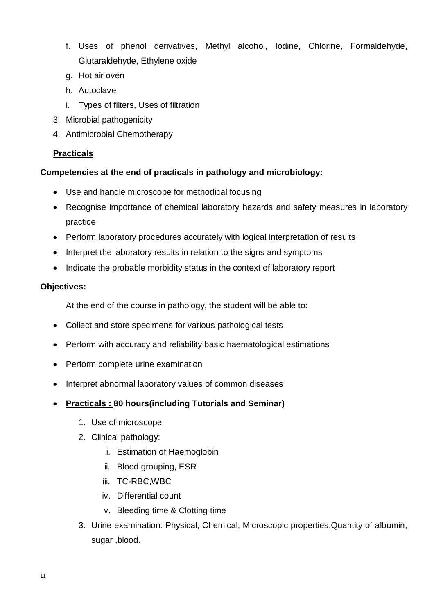- f. Uses of phenol derivatives, Methyl alcohol, Iodine, Chlorine, Formaldehyde, Glutaraldehyde, Ethylene oxide
- g. Hot air oven
- h. Autoclave
- i. Types of filters, Uses of filtration
- 3. Microbial pathogenicity
- 4. Antimicrobial Chemotherapy

# **Practicals**

# **Competencies at the end of practicals in pathology and microbiology:**

- Use and handle microscope for methodical focusing
- Recognise importance of chemical laboratory hazards and safety measures in laboratory practice
- Perform laboratory procedures accurately with logical interpretation of results
- Interpret the laboratory results in relation to the signs and symptoms
- Indicate the probable morbidity status in the context of laboratory report

# **Objectives:**

At the end of the course in pathology, the student will be able to:

- Collect and store specimens for various pathological tests
- Perform with accuracy and reliability basic haematological estimations
- Perform complete urine examination
- Interpret abnormal laboratory values of common diseases
- **Practicals : 80 hours(including Tutorials and Seminar)**
	- 1. Use of microscope
	- 2. Clinical pathology:
		- i. Estimation of Haemoglobin
		- ii. Blood grouping, ESR
		- iii. TC-RBC,WBC
		- iv. Differential count
		- v. Bleeding time & Clotting time
	- 3. Urine examination: Physical, Chemical, Microscopic properties,Quantity of albumin, sugar ,blood.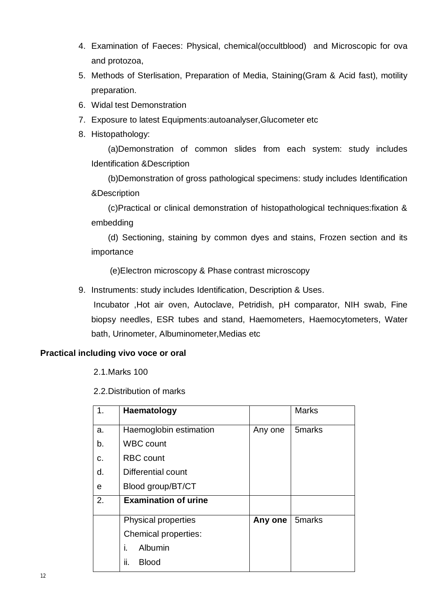- 4. Examination of Faeces: Physical, chemical(occultblood) and Microscopic for ova and protozoa,
- 5. Methods of Sterlisation, Preparation of Media, Staining(Gram & Acid fast), motility preparation.
- 6. Widal test Demonstration
- 7. Exposure to latest Equipments:autoanalyser,Glucometer etc
- 8. Histopathology:

 (a)Demonstration of common slides from each system: study includes Identification &Description

 (b)Demonstration of gross pathological specimens: study includes Identification &Description

 (c)Practical or clinical demonstration of histopathological techniques:fixation & embedding

 (d) Sectioning, staining by common dyes and stains, Frozen section and its importance

(e)Electron microscopy & Phase contrast microscopy

9. Instruments: study includes Identification, Description & Uses.

Incubator ,Hot air oven, Autoclave, Petridish, pH comparator, NIH swab, Fine biopsy needles, ESR tubes and stand, Haemometers, Haemocytometers, Water bath, Urinometer, Albuminometer,Medias etc

# **Practical including vivo voce or oral**

2.1.Marks 100

2.2.Distribution of marks

| 1 <sub>1</sub> | Haematology                 |         | <b>Marks</b>       |
|----------------|-----------------------------|---------|--------------------|
| a.             | Haemoglobin estimation      | Any one | 5 <sub>marks</sub> |
| b.             | <b>WBC count</b>            |         |                    |
| C.             | <b>RBC</b> count            |         |                    |
| d.             | Differential count          |         |                    |
| e              | Blood group/BT/CT           |         |                    |
| 2.             | <b>Examination of urine</b> |         |                    |
|                | Physical properties         | Any one | 5marks             |
|                | Chemical properties:        |         |                    |
|                | i.<br>Albumin               |         |                    |
|                | ii.<br><b>Blood</b>         |         |                    |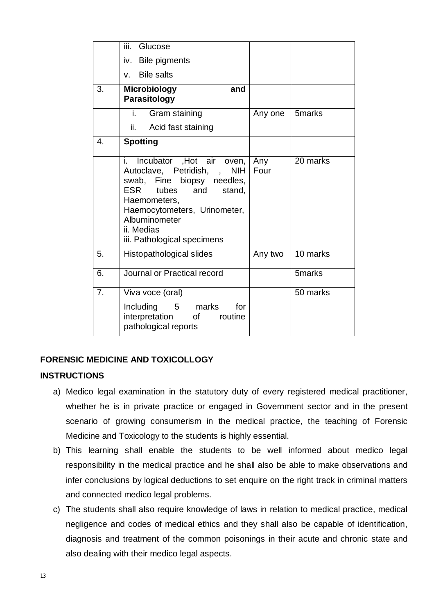|                  | iii.<br>Glucose                                                                                                                                                                                                                                         |             |                       |
|------------------|---------------------------------------------------------------------------------------------------------------------------------------------------------------------------------------------------------------------------------------------------------|-------------|-----------------------|
|                  | iv. Bile pigments                                                                                                                                                                                                                                       |             |                       |
|                  | v. Bile salts                                                                                                                                                                                                                                           |             |                       |
| 3.               | <b>Microbiology</b><br>and<br>Parasitology                                                                                                                                                                                                              |             |                       |
|                  | i.<br>Gram staining                                                                                                                                                                                                                                     | Any one     | 5 <sub>marks</sub>    |
|                  | ii.<br>Acid fast staining                                                                                                                                                                                                                               |             |                       |
| $\overline{4}$ . | <b>Spotting</b>                                                                                                                                                                                                                                         |             |                       |
|                  | Incubator , Hot air oven,<br>i. I<br>Autoclave, Petridish, ,<br><b>NIH</b><br>swab, Fine biopsy needles,<br>ESR<br>tubes<br>and<br>stand,<br>Haemometers,<br>Haemocytometers, Urinometer,<br>Albuminometer<br>ii. Medias<br>iii. Pathological specimens | Any<br>Four | $\overline{20}$ marks |
| 5.               | Histopathological slides                                                                                                                                                                                                                                | Any two     | 10 marks              |
| 6.               | Journal or Practical record                                                                                                                                                                                                                             |             | 5 <sub>marks</sub>    |
| 7.               | Viva voce (oral)                                                                                                                                                                                                                                        |             | 50 marks              |
|                  | Including 5 marks<br>for<br>interpretation<br><b>of</b><br>routine<br>pathological reports                                                                                                                                                              |             |                       |

# **FORENSIC MEDICINE AND TOXICOLLOGY**

#### **INSTRUCTIONS**

- a) Medico legal examination in the statutory duty of every registered medical practitioner, whether he is in private practice or engaged in Government sector and in the present scenario of growing consumerism in the medical practice, the teaching of Forensic Medicine and Toxicology to the students is highly essential.
- b) This learning shall enable the students to be well informed about medico legal responsibility in the medical practice and he shall also be able to make observations and infer conclusions by logical deductions to set enquire on the right track in criminal matters and connected medico legal problems.
- c) The students shall also require knowledge of laws in relation to medical practice, medical negligence and codes of medical ethics and they shall also be capable of identification, diagnosis and treatment of the common poisonings in their acute and chronic state and also dealing with their medico legal aspects.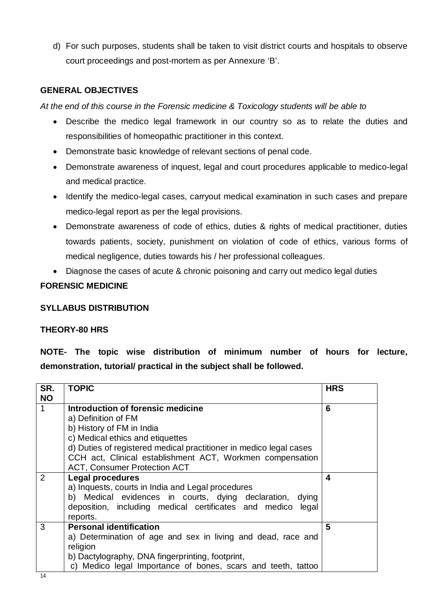d) For such purposes, students shall be taken to visit district courts and hospitals to observe court proceedings and post-mortem as per Annexure 'B'.

#### **GENERAL OBJECTIVES**

*At the end of this course in the Forensic medicine & Toxicology students will be able to*

- Describe the medico legal framework in our country so as to relate the duties and responsibilities of homeopathic practitioner in this context.
- Demonstrate basic knowledge of relevant sections of penal code.
- Demonstrate awareness of inquest, legal and court procedures applicable to medico-legal and medical practice.
- Identify the medico-legal cases, carryout medical examination in such cases and prepare medico-legal report as per the legal provisions.
- Demonstrate awareness of code of ethics, duties & rights of medical practitioner, duties towards patients, society, punishment on violation of code of ethics, various forms of medical negligence, duties towards his / her professional colleagues.
- Diagnose the cases of acute & chronic poisoning and carry out medico legal duties

#### **FORENSIC MEDICINE**

#### **SYLLABUS DISTRIBUTION**

#### **THEORY-80 HRS**

**NOTE- The topic wise distribution of minimum number of hours for lecture, demonstration, tutorial/ practical in the subject shall be followed.**

| SR.<br><b>NO</b> | <b>TOPIC</b>                                                       | <b>HRS</b> |
|------------------|--------------------------------------------------------------------|------------|
| $\mathbf{1}$     | Introduction of forensic medicine                                  | 6          |
|                  | a) Definition of FM                                                |            |
|                  | b) History of FM in India                                          |            |
|                  | c) Medical ethics and etiquettes                                   |            |
|                  | d) Duties of registered medical practitioner in medico legal cases |            |
|                  | CCH act, Clinical establishment ACT, Workmen compensation          |            |
|                  | <b>ACT, Consumer Protection ACT</b>                                |            |
| 2                | <b>Legal procedures</b>                                            | 4          |
|                  | a) Inquests, courts in India and Legal procedures                  |            |
|                  | b) Medical evidences in courts, dying declaration, dying           |            |
|                  | deposition, including medical certificates and medico<br>legal     |            |
|                  | reports.                                                           |            |
| 3                | <b>Personal identification</b>                                     | 5          |
|                  | a) Determination of age and sex in living and dead, race and       |            |
|                  | religion                                                           |            |
|                  | b) Dactylography, DNA fingerprinting, footprint,                   |            |
|                  | c) Medico legal Importance of bones, scars and teeth, tattoo       |            |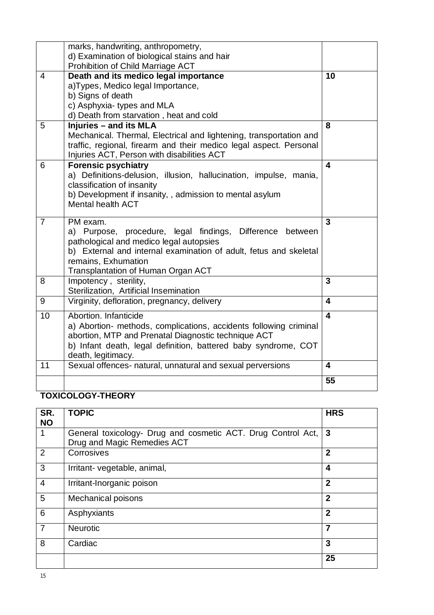|                | marks, handwriting, anthropometry,<br>d) Examination of biological stains and hair                                                                                                                                                                                 |                         |
|----------------|--------------------------------------------------------------------------------------------------------------------------------------------------------------------------------------------------------------------------------------------------------------------|-------------------------|
| $\overline{4}$ | Prohibition of Child Marriage ACT<br>Death and its medico legal importance<br>a) Types, Medico legal Importance,<br>b) Signs of death<br>c) Asphyxia-types and MLA                                                                                                 | 10                      |
| 5              | d) Death from starvation, heat and cold<br><b>Injuries - and its MLA</b><br>Mechanical. Thermal, Electrical and lightening, transportation and<br>traffic, regional, firearm and their medico legal aspect. Personal<br>Injuries ACT, Person with disabilities ACT | 8                       |
| 6              | <b>Forensic psychiatry</b><br>a) Definitions-delusion, illusion, hallucination, impulse, mania,<br>classification of insanity<br>b) Development if insanity, , admission to mental asylum<br><b>Mental health ACT</b>                                              | $\overline{\mathbf{4}}$ |
| $\overline{7}$ | PM exam.<br>a) Purpose, procedure, legal findings, Difference<br>between<br>pathological and medico legal autopsies<br>b) External and internal examination of adult, fetus and skeletal<br>remains, Exhumation<br>Transplantation of Human Organ ACT              | 3                       |
| 8              | Impotency, sterility,<br>Sterilization, Artificial Insemination                                                                                                                                                                                                    | 3                       |
| 9              | Virginity, defloration, pregnancy, delivery                                                                                                                                                                                                                        | $\overline{\mathbf{4}}$ |
| 10             | Abortion. Infanticide<br>a) Abortion- methods, complications, accidents following criminal<br>abortion, MTP and Prenatal Diagnostic technique ACT<br>b) Infant death, legal definition, battered baby syndrome, COT<br>death, legitimacy.                          | $\overline{\mathbf{4}}$ |
| 11             | Sexual offences- natural, unnatural and sexual perversions                                                                                                                                                                                                         | 4                       |
|                |                                                                                                                                                                                                                                                                    | 55                      |

# **TOXICOLOGY-THEORY**

| SR.<br><b>NO</b> | <b>TOPIC</b>                                                                                | <b>HRS</b>     |
|------------------|---------------------------------------------------------------------------------------------|----------------|
|                  | General toxicology- Drug and cosmetic ACT. Drug Control Act,<br>Drug and Magic Remedies ACT | $\mathbf{3}$   |
| 2                | Corrosives                                                                                  | $\overline{2}$ |
| 3                | Irritant- vegetable, animal,                                                                | 4              |
| $\overline{4}$   | Irritant-Inorganic poison                                                                   | $\overline{2}$ |
| 5                | Mechanical poisons                                                                          | $\mathbf{2}$   |
| 6                | Asphyxiants                                                                                 | $\overline{2}$ |
| $\overline{7}$   | <b>Neurotic</b>                                                                             | 7              |
| 8                | Cardiac                                                                                     | 3              |
|                  |                                                                                             | 25             |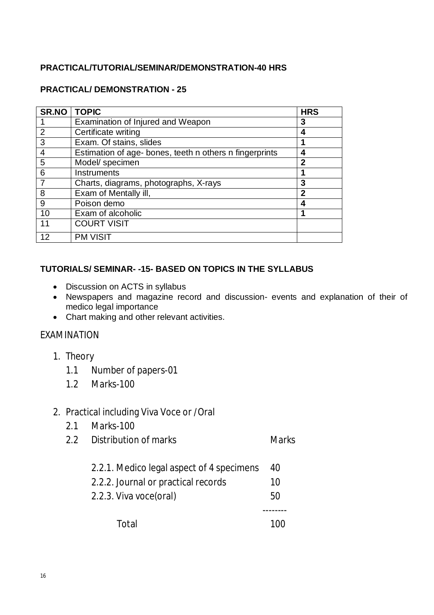# **PRACTICAL/TUTORIAL/SEMINAR/DEMONSTRATION-40 HRS**

#### **PRACTICAL/ DEMONSTRATION - 25**

| <b>SR.NO</b>   | <b>TOPIC</b>                                            | <b>HRS</b>   |
|----------------|---------------------------------------------------------|--------------|
|                | Examination of Injured and Weapon                       | 3            |
| 2              | Certificate writing                                     | 4            |
| 3              | Exam. Of stains, slides                                 |              |
| $\overline{4}$ | Estimation of age- bones, teeth n others n fingerprints | 4            |
| 5              | Model/ specimen                                         | $\mathbf{2}$ |
| 6              | Instruments                                             |              |
|                | Charts, diagrams, photographs, X-rays                   | 3            |
| 8              | Exam of Mentally ill,                                   | 2            |
| 9              | Poison demo                                             |              |
| 10             | Exam of alcoholic                                       |              |
| 11             | <b>COURT VISIT</b>                                      |              |
| 12             | <b>PM VISIT</b>                                         |              |

#### **TUTORIALS/ SEMINAR- -15- BASED ON TOPICS IN THE SYLLABUS**

- Discussion on ACTS in syllabus
- Newspapers and magazine record and discussion- events and explanation of their of medico legal importance
- Chart making and other relevant activities.

#### EXAMINATION

- 1. Theory
	- 1.1 Number of papers-01
	- 1.2 Marks-100

# 2. Practical including Viva Voce or /Oral

- 2.1 Marks-100
- 2.2 Distribution of marks Marks
	- 2.2.1. Medico legal aspect of 4 specimens 40
	- 2.2.2. Journal or practical records 10
	- 2.2.3. Viva voce(oral) 50

--------

Total 100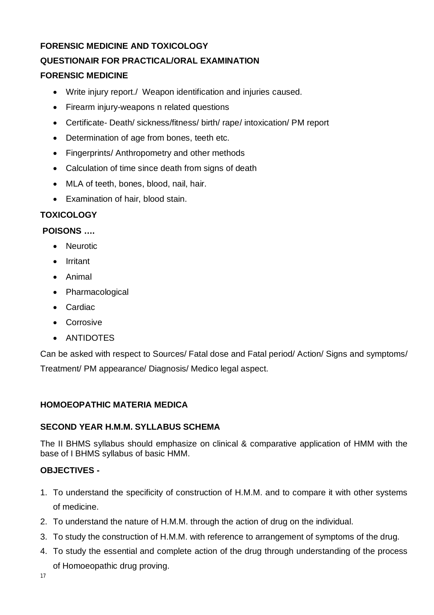# **FORENSIC MEDICINE AND TOXICOLOGY QUESTIONAIR FOR PRACTICAL/ORAL EXAMINATION FORENSIC MEDICINE**

- Write injury report./ Weapon identification and injuries caused.
- Firearm injury-weapons n related questions
- Certificate- Death/ sickness/fitness/ birth/ rape/ intoxication/ PM report
- Determination of age from bones, teeth etc.
- Fingerprints/ Anthropometry and other methods
- Calculation of time since death from signs of death
- MLA of teeth, bones, blood, nail, hair.
- Examination of hair, blood stain.

#### **TOXICOLOGY**

#### **POISONS ….**

- Neurotic
- Irritant
- Animal
- Pharmacological
- Cardiac
- Corrosive
- ANTIDOTES

Can be asked with respect to Sources/ Fatal dose and Fatal period/ Action/ Signs and symptoms/ Treatment/ PM appearance/ Diagnosis/ Medico legal aspect.

#### **HOMOEOPATHIC MATERIA MEDICA**

#### **SECOND YEAR H.M.M. SYLLABUS SCHEMA**

The II BHMS syllabus should emphasize on clinical & comparative application of HMM with the base of I BHMS syllabus of basic HMM.

#### **OBJECTIVES -**

- 1. To understand the specificity of construction of H.M.M. and to compare it with other systems of medicine.
- 2. To understand the nature of H.M.M. through the action of drug on the individual.
- 3. To study the construction of H.M.M. with reference to arrangement of symptoms of the drug.
- 4. To study the essential and complete action of the drug through understanding of the process of Homoeopathic drug proving.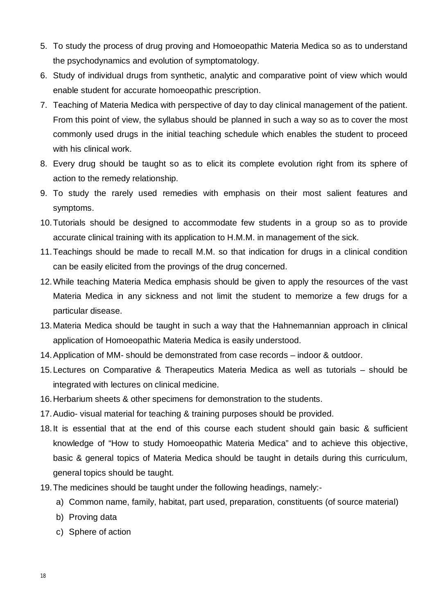- 5. To study the process of drug proving and Homoeopathic Materia Medica so as to understand the psychodynamics and evolution of symptomatology.
- 6. Study of individual drugs from synthetic, analytic and comparative point of view which would enable student for accurate homoeopathic prescription.
- 7. Teaching of Materia Medica with perspective of day to day clinical management of the patient. From this point of view, the syllabus should be planned in such a way so as to cover the most commonly used drugs in the initial teaching schedule which enables the student to proceed with his clinical work.
- 8. Every drug should be taught so as to elicit its complete evolution right from its sphere of action to the remedy relationship.
- 9. To study the rarely used remedies with emphasis on their most salient features and symptoms.
- 10.Tutorials should be designed to accommodate few students in a group so as to provide accurate clinical training with its application to H.M.M. in management of the sick.
- 11.Teachings should be made to recall M.M. so that indication for drugs in a clinical condition can be easily elicited from the provings of the drug concerned.
- 12.While teaching Materia Medica emphasis should be given to apply the resources of the vast Materia Medica in any sickness and not limit the student to memorize a few drugs for a particular disease.
- 13.Materia Medica should be taught in such a way that the Hahnemannian approach in clinical application of Homoeopathic Materia Medica is easily understood.
- 14.Application of MM- should be demonstrated from case records indoor & outdoor.
- 15.Lectures on Comparative & Therapeutics Materia Medica as well as tutorials should be integrated with lectures on clinical medicine.
- 16.Herbarium sheets & other specimens for demonstration to the students.
- 17.Audio- visual material for teaching & training purposes should be provided.
- 18.It is essential that at the end of this course each student should gain basic & sufficient knowledge of "How to study Homoeopathic Materia Medica" and to achieve this objective, basic & general topics of Materia Medica should be taught in details during this curriculum, general topics should be taught.
- 19.The medicines should be taught under the following headings, namely:
	- a) Common name, family, habitat, part used, preparation, constituents (of source material)
	- b) Proving data
	- c) Sphere of action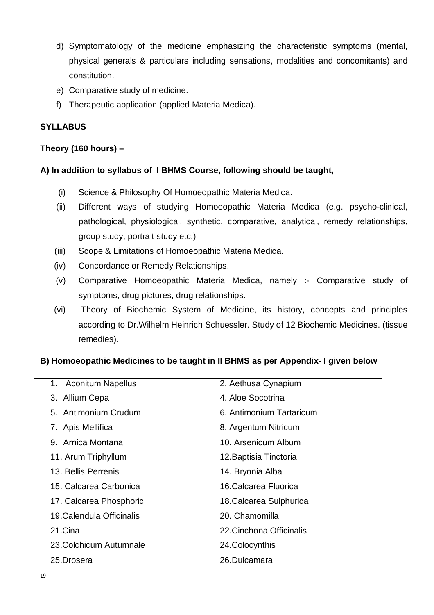- d) Symptomatology of the medicine emphasizing the characteristic symptoms (mental, physical generals & particulars including sensations, modalities and concomitants) and constitution.
- e) Comparative study of medicine.
- f) Therapeutic application (applied Materia Medica).

# **SYLLABUS**

# **Theory (160 hours) –**

#### **A) In addition to syllabus of I BHMS Course, following should be taught,**

- (i) Science & Philosophy Of Homoeopathic Materia Medica.
- (ii) Different ways of studying Homoeopathic Materia Medica (e.g. psycho-clinical, pathological, physiological, synthetic, comparative, analytical, remedy relationships, group study, portrait study etc.)
- (iii) Scope & Limitations of Homoeopathic Materia Medica.
- (iv) Concordance or Remedy Relationships.
- (v) Comparative Homoeopathic Materia Medica, namely :- Comparative study of symptoms, drug pictures, drug relationships.
- (vi) Theory of Biochemic System of Medicine, its history, concepts and principles according to Dr.Wilhelm Heinrich Schuessler. Study of 12 Biochemic Medicines. (tissue remedies).

# **B) Homoeopathic Medicines to be taught in II BHMS as per Appendix- I given below**

| 1. Aconitum Napellus      | 2. Aethusa Cynapium      |
|---------------------------|--------------------------|
| 3. Allium Cepa            | 4. Aloe Socotrina        |
| 5. Antimonium Crudum      | 6. Antimonium Tartaricum |
| 7. Apis Mellifica         | 8. Argentum Nitricum     |
| 9. Arnica Montana         | 10. Arsenicum Album      |
| 11. Arum Triphyllum       | 12. Baptisia Tinctoria   |
| 13. Bellis Perrenis       | 14. Bryonia Alba         |
| 15. Calcarea Carbonica    | 16. Calcarea Fluorica    |
| 17. Calcarea Phosphoric   | 18. Calcarea Sulphurica  |
| 19. Calendula Officinalis | 20. Chamomilla           |
| 21.Cina                   | 22. Cinchona Officinalis |
| 23. Colchicum Autumnale   | 24. Colocynthis          |
| 25.Drosera                | 26.Dulcamara             |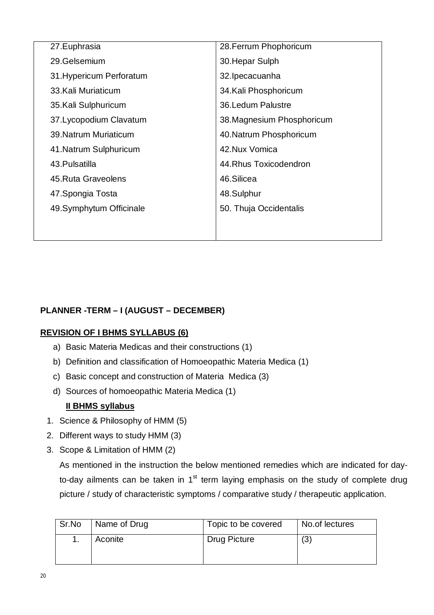| 27. Euphrasia            | 28. Ferrum Phophoricum     |
|--------------------------|----------------------------|
| 29.Gelsemium             | 30. Hepar Sulph            |
| 31. Hypericum Perforatum | 32. Ipecacuanha            |
| 33. Kali Muriaticum      | 34. Kali Phosphoricum      |
| 35.Kali Sulphuricum      | 36. Ledum Palustre         |
| 37. Lycopodium Clavatum  | 38. Magnesium Phosphoricum |
| 39. Natrum Muriaticum    | 40. Natrum Phosphoricum    |
| 41. Natrum Sulphuricum   | 42. Nux Vomica             |
| 43. Pulsatilla           | 44. Rhus Toxicodendron     |
| 45. Ruta Graveolens      | 46.Silicea                 |
| 47. Spongia Tosta        | 48.Sulphur                 |
| 49.Symphytum Officinale  | 50. Thuja Occidentalis     |
|                          |                            |
|                          |                            |

# **PLANNER -TERM – I (AUGUST – DECEMBER)**

#### **REVISION OF I BHMS SYLLABUS (6)**

- a) Basic Materia Medicas and their constructions (1)
- b) Definition and classification of Homoeopathic Materia Medica (1)
- c) Basic concept and construction of Materia Medica (3)
- d) Sources of homoeopathic Materia Medica (1)

#### **II BHMS syllabus**

- 1. Science & Philosophy of HMM (5)
- 2. Different ways to study HMM (3)
- 3. Scope & Limitation of HMM (2)

As mentioned in the instruction the below mentioned remedies which are indicated for dayto-day ailments can be taken in  $1<sup>st</sup>$  term laying emphasis on the study of complete drug picture / study of characteristic symptoms / comparative study / therapeutic application.

| Sr.No | Name of Drug | Topic to be covered | No.of lectures |
|-------|--------------|---------------------|----------------|
|       | Aconite      | Drug Picture        | (3             |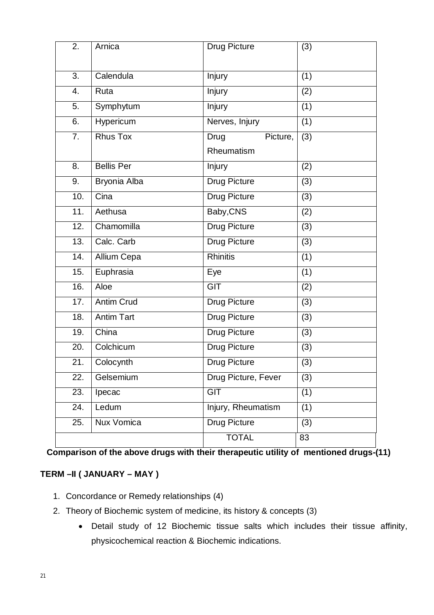| $\overline{2}$ . | Arnica            | <b>Drug Picture</b> | (3)              |
|------------------|-------------------|---------------------|------------------|
|                  |                   |                     |                  |
| 3.               | Calendula         | Injury              | (1)              |
| 4.               | Ruta              | <b>Injury</b>       | $\overline{(2)}$ |
| 5.               | Symphytum         | Injury              | (1)              |
| 6.               | Hypericum         | Nerves, Injury      | (1)              |
| 7.               | <b>Rhus Tox</b>   | Drug<br>Picture,    | (3)              |
|                  |                   | Rheumatism          |                  |
| 8.               | <b>Bellis Per</b> | <b>Injury</b>       | (2)              |
| 9.               | Bryonia Alba      | Drug Picture        | (3)              |
| 10.              | Cina              | <b>Drug Picture</b> | (3)              |
| 11.              | Aethusa           | Baby, CNS           | (2)              |
| 12.              | Chamomilla        | Drug Picture        | (3)              |
| 13.              | Calc. Carb        | <b>Drug Picture</b> | (3)              |
| 14.              | Allium Cepa       | <b>Rhinitis</b>     | $\overline{(1)}$ |
| 15.              | Euphrasia         | Eye                 | (1)              |
| 16.              | Aloe              | $\overline{GIT}$    | (2)              |
| 17.              | <b>Antim Crud</b> | <b>Drug Picture</b> | (3)              |
| 18.              | <b>Antim Tart</b> | Drug Picture        | (3)              |
| 19.              | China             | <b>Drug Picture</b> | (3)              |
| 20.              | Colchicum         | <b>Drug Picture</b> | (3)              |
| 21.              | Colocynth         | Drug Picture        | (3)              |
| 22.              | Gelsemium         | Drug Picture, Fever | (3)              |
| 23.              | Ipecac            | <b>GIT</b>          | (1)              |
| 24.              | Ledum             | Injury, Rheumatism  | (1)              |
| 25.              | Nux Vomica        | Drug Picture        | (3)              |
|                  |                   | <b>TOTAL</b>        | 83               |

**Comparison of the above drugs with their therapeutic utility of mentioned drugs-(11)**

# **TERM –II ( JANUARY – MAY )**

- 1. Concordance or Remedy relationships (4)
- 2. Theory of Biochemic system of medicine, its history & concepts (3)
	- Detail study of 12 Biochemic tissue salts which includes their tissue affinity, physicochemical reaction & Biochemic indications.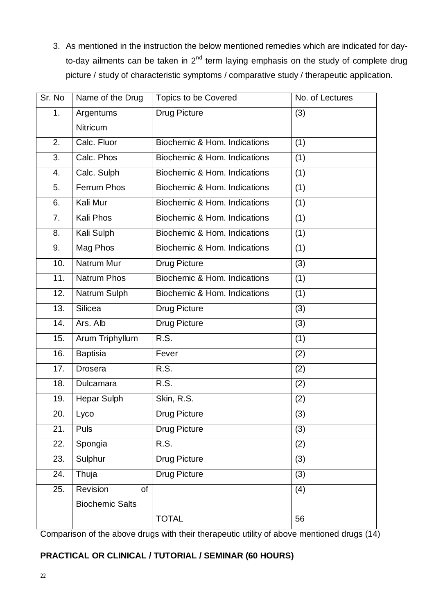3. As mentioned in the instruction the below mentioned remedies which are indicated for dayto-day ailments can be taken in  $2^{nd}$  term laying emphasis on the study of complete drug picture / study of characteristic symptoms / comparative study / therapeutic application.

| Sr. No | Name of the Drug       | <b>Topics to be Covered</b>  | No. of Lectures |
|--------|------------------------|------------------------------|-----------------|
| 1.     | Argentums              | <b>Drug Picture</b>          | (3)             |
|        | <b>Nitricum</b>        |                              |                 |
| 2.     | Calc. Fluor            | Biochemic & Hom. Indications | (1)             |
| 3.     | Calc. Phos             | Biochemic & Hom. Indications | (1)             |
| 4.     | Calc. Sulph            | Biochemic & Hom. Indications | (1)             |
| 5.     | <b>Ferrum Phos</b>     | Biochemic & Hom. Indications | (1)             |
| 6.     | Kali Mur               | Biochemic & Hom. Indications | (1)             |
| 7.     | Kali Phos              | Biochemic & Hom. Indications | (1)             |
| 8.     | Kali Sulph             | Biochemic & Hom. Indications | (1)             |
| 9.     | Mag Phos               | Biochemic & Hom. Indications | (1)             |
| 10.    | Natrum Mur             | <b>Drug Picture</b>          | (3)             |
| 11.    | <b>Natrum Phos</b>     | Biochemic & Hom. Indications | (1)             |
| 12.    | Natrum Sulph           | Biochemic & Hom. Indications | (1)             |
| 13.    | <b>Silicea</b>         | <b>Drug Picture</b>          | (3)             |
| 14.    | Ars. Alb               | <b>Drug Picture</b>          | (3)             |
| 15.    | Arum Triphyllum        | R.S.                         | (1)             |
| 16.    | <b>Baptisia</b>        | Fever                        | (2)             |
| 17.    | Drosera                | R.S.                         | (2)             |
| 18.    | Dulcamara              | R.S.                         | (2)             |
| 19.    | Hepar Sulph            | Skin, R.S.                   | (2)             |
| 20.    | Lyco                   | Drug Picture                 | (3)             |
| 21.    | Puls                   | <b>Drug Picture</b>          | (3)             |
| 22.    | Spongia                | R.S.                         | (2)             |
| 23.    | Sulphur                | <b>Drug Picture</b>          | (3)             |
| 24.    | Thuja                  | <b>Drug Picture</b>          | (3)             |
| 25.    | Revision<br>of         |                              | (4)             |
|        | <b>Biochemic Salts</b> |                              |                 |
|        |                        | <b>TOTAL</b>                 | 56              |

Comparison of the above drugs with their therapeutic utility of above mentioned drugs (14)

# **PRACTICAL OR CLINICAL / TUTORIAL / SEMINAR (60 HOURS)**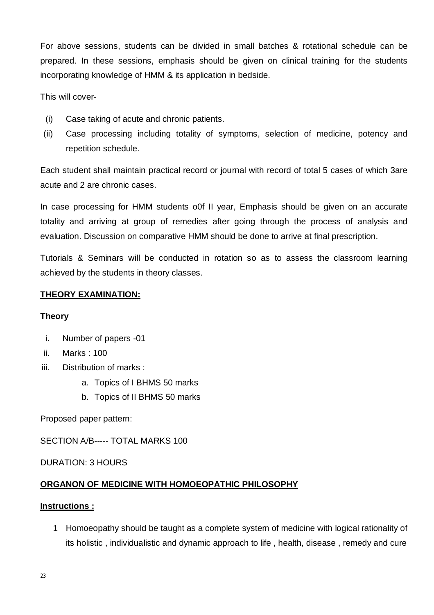For above sessions, students can be divided in small batches & rotational schedule can be prepared. In these sessions, emphasis should be given on clinical training for the students incorporating knowledge of HMM & its application in bedside.

This will cover-

- (i) Case taking of acute and chronic patients.
- (ii) Case processing including totality of symptoms, selection of medicine, potency and repetition schedule.

Each student shall maintain practical record or journal with record of total 5 cases of which 3are acute and 2 are chronic cases.

In case processing for HMM students o0f II year, Emphasis should be given on an accurate totality and arriving at group of remedies after going through the process of analysis and evaluation. Discussion on comparative HMM should be done to arrive at final prescription.

Tutorials & Seminars will be conducted in rotation so as to assess the classroom learning achieved by the students in theory classes.

#### **THEORY EXAMINATION:**

#### **Theory**

- i. Number of papers -01
- ii. Marks : 100
- iii. Distribution of marks :
	- a. Topics of I BHMS 50 marks
	- b. Topics of II BHMS 50 marks

Proposed paper pattern:

SECTION A/B----- TOTAL MARKS 100

DURATION: 3 HOURS

# **ORGANON OF MEDICINE WITH HOMOEOPATHIC PHILOSOPHY**

#### **Instructions :**

1 Homoeopathy should be taught as a complete system of medicine with logical rationality of its holistic , individualistic and dynamic approach to life , health, disease , remedy and cure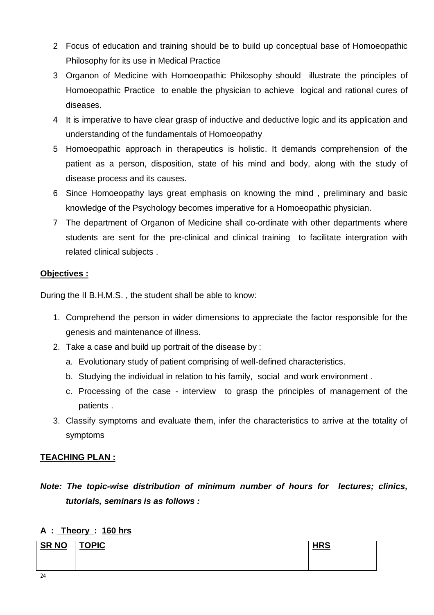- 2 Focus of education and training should be to build up conceptual base of Homoeopathic Philosophy for its use in Medical Practice
- 3 Organon of Medicine with Homoeopathic Philosophy should illustrate the principles of Homoeopathic Practice to enable the physician to achieve logical and rational cures of diseases.
- 4 It is imperative to have clear grasp of inductive and deductive logic and its application and understanding of the fundamentals of Homoeopathy
- 5 Homoeopathic approach in therapeutics is holistic. It demands comprehension of the patient as a person, disposition, state of his mind and body, along with the study of disease process and its causes.
- 6 Since Homoeopathy lays great emphasis on knowing the mind , preliminary and basic knowledge of the Psychology becomes imperative for a Homoeopathic physician.
- 7 The department of Organon of Medicine shall co-ordinate with other departments where students are sent for the pre-clinical and clinical training to facilitate intergration with related clinical subjects .

# **Objectives :**

During the II B.H.M.S. , the student shall be able to know:

- 1. Comprehend the person in wider dimensions to appreciate the factor responsible for the genesis and maintenance of illness.
- 2. Take a case and build up portrait of the disease by :
	- a. Evolutionary study of patient comprising of well-defined characteristics.
	- b. Studying the individual in relation to his family, social and work environment .
	- c. Processing of the case interview to grasp the principles of management of the patients .
- 3. Classify symptoms and evaluate them, infer the characteristics to arrive at the totality of symptoms

# **TEACHING PLAN :**

*Note: The topic-wise distribution of minimum number of hours for lectures; clinics, tutorials, seminars is as follows :* 

# **A : Theory : 160 hrs**

| <b>SR NO</b> | <b>TOPIC</b> | <b>UDC</b> |
|--------------|--------------|------------|
|              |              |            |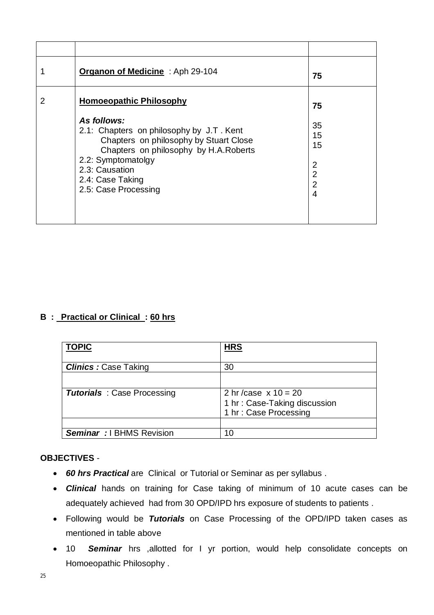|   | Organon of Medicine: Aph 29-104                                                                                                                                                                                                | 75                                                                        |
|---|--------------------------------------------------------------------------------------------------------------------------------------------------------------------------------------------------------------------------------|---------------------------------------------------------------------------|
| 2 | <b>Homoeopathic Philosophy</b>                                                                                                                                                                                                 | 75                                                                        |
|   | As follows:<br>2.1: Chapters on philosophy by J.T. Kent<br>Chapters on philosophy by Stuart Close<br>Chapters on philosophy by H.A.Roberts<br>2.2: Symptomatolgy<br>2.3: Causation<br>2.4: Case Taking<br>2.5: Case Processing | 35<br>15<br>15<br>$\overline{2}$<br>$\overline{2}$<br>$\overline{2}$<br>4 |

# **B : Practical or Clinical : 60 hrs**

| <b>TOPIC</b>                       | <b>HRS</b>                                                                     |
|------------------------------------|--------------------------------------------------------------------------------|
| <b>Clinics: Case Taking</b>        | 30                                                                             |
|                                    |                                                                                |
| <b>Tutorials</b> : Case Processing | 2 hr/case $x 10 = 20$<br>1 hr: Case-Taking discussion<br>1 hr: Case Processing |
|                                    |                                                                                |
| <b>Seminar</b> : I BHMS Revision   | 10                                                                             |

#### **OBJECTIVES** -

- *60 hrs Practical* are Clinical or Tutorial or Seminar as per syllabus .
- *Clinical* hands on training for Case taking of minimum of 10 acute cases can be adequately achieved had from 30 OPD/IPD hrs exposure of students to patients .
- Following would be *Tutorials* on Case Processing of the OPD/IPD taken cases as mentioned in table above
- 10 *Seminar* hrs ,allotted for I yr portion, would help consolidate concepts on Homoeopathic Philosophy .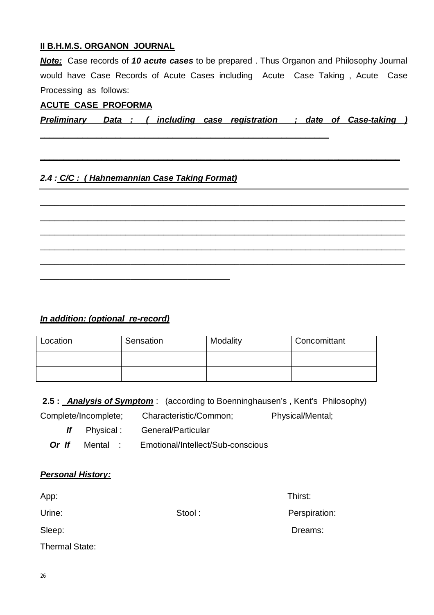#### **II B.H.M.S. ORGANON JOURNAL**

*Note:* Case records of *10 acute cases* to be prepared . Thus Organon and Philosophy Journal would have Case Records of Acute Cases including Acute Case Taking , Acute Case Processing as follows:

#### **ACUTE CASE PROFORMA**

*Preliminary Data : \_( including case registration ; date of Case-taking )* 

*\_\_\_\_\_\_\_\_\_\_\_\_\_\_\_\_\_\_\_\_\_\_\_\_\_\_\_\_\_\_\_\_\_\_\_\_\_\_\_\_\_\_\_\_\_\_\_\_\_\_\_\_\_\_\_\_\_\_\_\_\_\_\_\_\_\_\_\_\_\_\_\_\_\_\_\_*

\_\_\_\_\_\_\_\_\_\_\_\_\_\_\_\_\_\_\_\_\_\_\_\_\_\_\_\_\_\_\_\_\_\_\_\_\_\_\_\_\_\_\_\_\_\_\_\_\_\_\_\_\_\_\_\_\_\_\_\_\_\_\_\_\_\_\_\_\_\_\_\_\_\_\_\_\_

\_\_\_\_\_\_\_\_\_\_\_\_\_\_\_\_\_\_\_\_\_\_\_\_\_\_\_\_\_\_\_\_\_\_\_\_\_\_\_\_\_\_\_\_\_\_\_\_\_\_\_\_\_\_\_\_\_\_\_\_\_\_\_\_\_\_\_\_\_\_\_\_\_\_\_\_\_

\_\_\_\_\_\_\_\_\_\_\_\_\_\_\_\_\_\_\_\_\_\_\_\_\_\_\_\_\_\_\_\_\_\_\_\_\_\_\_\_\_\_\_\_\_\_\_\_\_\_\_\_\_\_\_\_\_\_\_\_\_\_\_\_\_\_\_\_\_\_\_\_\_\_\_\_\_ \_\_\_\_\_\_\_\_\_\_\_\_\_\_\_\_\_\_\_\_\_\_\_\_\_\_\_\_\_\_\_\_\_\_\_\_\_\_\_\_\_\_\_\_\_\_\_\_\_\_\_\_\_\_\_\_\_\_\_\_\_\_\_\_\_\_\_\_\_\_\_\_\_\_\_\_\_

\_\_\_\_\_\_\_\_\_\_\_\_\_\_\_\_\_\_\_\_\_\_\_\_\_\_\_\_\_\_\_\_\_\_\_\_\_\_\_\_\_\_\_\_\_\_\_\_\_\_\_\_\_\_\_\_\_\_\_\_\_\_\_\_\_\_\_\_\_\_\_\_\_\_\_\_\_

*\_\_\_\_\_\_\_\_\_\_\_\_\_\_\_\_\_\_\_\_\_\_\_\_\_\_\_\_\_\_\_\_\_\_\_\_\_\_\_\_\_\_\_\_\_\_\_\_\_\_\_\_\_\_\_\_\_\_\_\_\_*

# *2.4 : C/C : ( Hahnemannian Case Taking Format)*

\_\_\_\_\_\_\_\_\_\_\_\_\_\_\_\_\_\_\_\_\_\_\_\_\_\_\_\_\_\_\_\_\_\_\_\_\_\_\_\_

#### *In addition: (optional re-record)*

| Location | Sensation | Modality | Concomittant |
|----------|-----------|----------|--------------|
|          |           |          |              |
|          |           |          |              |

**2.5 :** *Analysis of Symptom* : (according to Boenninghausen's , Kent's Philosophy) Complete/Incomplete; Characteristic/Common; Physical/Mental;

*If* Physical : General/Particular

*Or If* Mental : Emotional/Intellect/Sub-conscious

| <b>Personal History:</b> |  |
|--------------------------|--|
|                          |  |

App: Thirst:

Urine: Stool : Stool : Perspiration:

Thermal State:

Sleep: **Dreams:** Dreams: **Dreams: Dreams: Dreams: Dreams: Dreams: Dreams: Dreams: Dreams: Dreams: Dreams: Dreams: Dreams: Dreams: Dreams: Dreams: Dreams: Dreams: Dreams: Dreams: Dreams**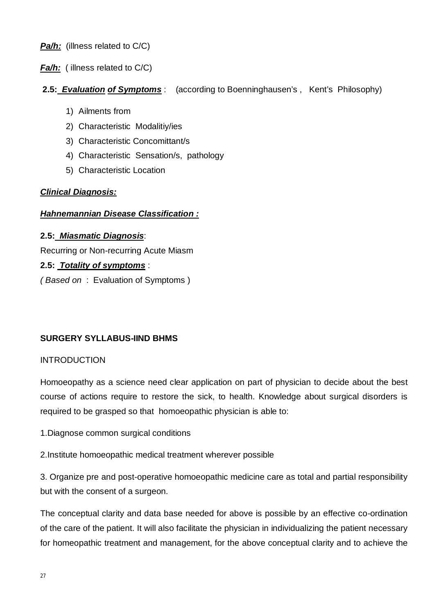*Pa/h:* (illness related to C/C)

**Fa/h:** ( illness related to C/C)

# **2.5:** *Evaluation of Symptoms* : (according to Boenninghausen's , Kent's Philosophy)

- 1) Ailments from
- 2) Characteristic Modalitiy/ies
- 3) Characteristic Concomittant/s
- 4) Characteristic Sensation/s, pathology
- 5) Characteristic Location

#### *Clinical Diagnosis:*

#### *Hahnemannian Disease Classification :*

#### **2.5:** *Miasmatic Diagnosis*:

Recurring or Non-recurring Acute Miasm

#### **2.5:** *Totality of symptoms* :

*( Based on* : Evaluation of Symptoms )

# **SURGERY SYLLABUS-IIND BHMS**

#### **INTRODUCTION**

Homoeopathy as a science need clear application on part of physician to decide about the best course of actions require to restore the sick, to health. Knowledge about surgical disorders is required to be grasped so that homoeopathic physician is able to:

- 1.Diagnose common surgical conditions
- 2.Institute homoeopathic medical treatment wherever possible

3. Organize pre and post-operative homoeopathic medicine care as total and partial responsibility but with the consent of a surgeon.

The conceptual clarity and data base needed for above is possible by an effective co-ordination of the care of the patient. It will also facilitate the physician in individualizing the patient necessary for homeopathic treatment and management, for the above conceptual clarity and to achieve the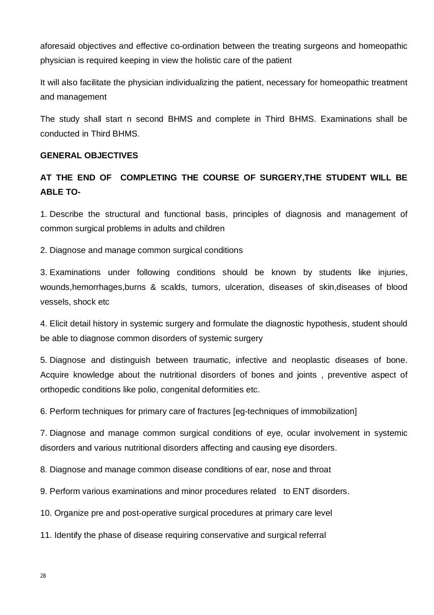aforesaid objectives and effective co-ordination between the treating surgeons and homeopathic physician is required keeping in view the holistic care of the patient

It will also facilitate the physician individualizing the patient, necessary for homeopathic treatment and management

The study shall start n second BHMS and complete in Third BHMS. Examinations shall be conducted in Third BHMS.

#### **GENERAL OBJECTIVES**

# **AT THE END OF COMPLETING THE COURSE OF SURGERY,THE STUDENT WILL BE ABLE TO-**

1. Describe the structural and functional basis, principles of diagnosis and management of common surgical problems in adults and children

2. Diagnose and manage common surgical conditions

3. Examinations under following conditions should be known by students like injuries, wounds,hemorrhages,burns & scalds, tumors, ulceration, diseases of skin,diseases of blood vessels, shock etc

4. Elicit detail history in systemic surgery and formulate the diagnostic hypothesis, student should be able to diagnose common disorders of systemic surgery

5. Diagnose and distinguish between traumatic, infective and neoplastic diseases of bone. Acquire knowledge about the nutritional disorders of bones and joints , preventive aspect of orthopedic conditions like polio, congenital deformities etc.

6. Perform techniques for primary care of fractures [eg-techniques of immobilization]

7. Diagnose and manage common surgical conditions of eye, ocular involvement in systemic disorders and various nutritional disorders affecting and causing eye disorders.

8. Diagnose and manage common disease conditions of ear, nose and throat

9. Perform various examinations and minor procedures related to ENT disorders.

10. Organize pre and post-operative surgical procedures at primary care level

11. Identify the phase of disease requiring conservative and surgical referral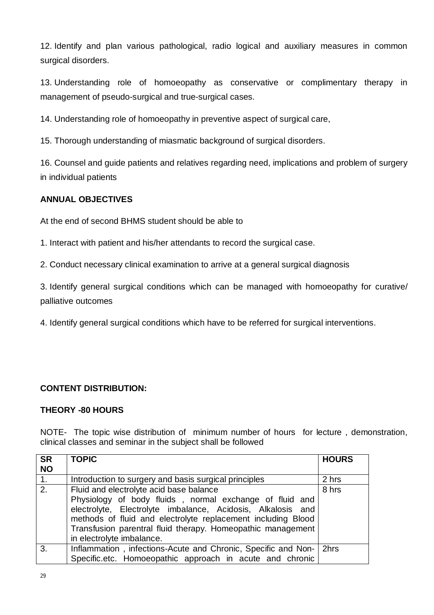12. Identify and plan various pathological, radio logical and auxiliary measures in common surgical disorders.

13. Understanding role of homoeopathy as conservative or complimentary therapy in management of pseudo-surgical and true-surgical cases.

14. Understanding role of homoeopathy in preventive aspect of surgical care,

15. Thorough understanding of miasmatic background of surgical disorders.

16. Counsel and guide patients and relatives regarding need, implications and problem of surgery in individual patients

# **ANNUAL OBJECTIVES**

At the end of second BHMS student should be able to

1. Interact with patient and his/her attendants to record the surgical case.

2. Conduct necessary clinical examination to arrive at a general surgical diagnosis

3. Identify general surgical conditions which can be managed with homoeopathy for curative/ palliative outcomes

4. Identify general surgical conditions which have to be referred for surgical interventions.

# **CONTENT DISTRIBUTION:**

#### **THEORY -80 HOURS**

NOTE- The topic wise distribution of minimum number of hours for lecture , demonstration, clinical classes and seminar in the subject shall be followed

| <b>SR</b> | <b>TOPIC</b>                                                                                                                                                                                                                                                                                                                  | <b>HOURS</b> |
|-----------|-------------------------------------------------------------------------------------------------------------------------------------------------------------------------------------------------------------------------------------------------------------------------------------------------------------------------------|--------------|
| <b>NO</b> |                                                                                                                                                                                                                                                                                                                               |              |
| 1.        | Introduction to surgery and basis surgical principles                                                                                                                                                                                                                                                                         | 2 hrs        |
| 2.        | Fluid and electrolyte acid base balance<br>Physiology of body fluids, normal exchange of fluid and<br>electrolyte, Electrolyte imbalance, Acidosis, Alkalosis and<br>methods of fluid and electrolyte replacement including Blood<br>Transfusion parentral fluid therapy. Homeopathic management<br>in electrolyte imbalance. | 8 hrs        |
| 3.        | Inflammation, infections-Acute and Chronic, Specific and Non-   2hrs<br>Specific.etc. Homoeopathic approach in acute and chronic                                                                                                                                                                                              |              |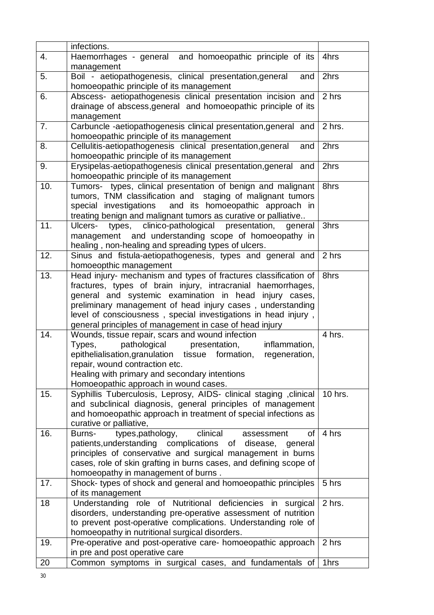|     | infections.                                                                                                                                                                                                                                                                                                                                                                          |         |
|-----|--------------------------------------------------------------------------------------------------------------------------------------------------------------------------------------------------------------------------------------------------------------------------------------------------------------------------------------------------------------------------------------|---------|
| 4.  | Haemorrhages - general and homoeopathic principle of its<br>management                                                                                                                                                                                                                                                                                                               | 4hrs    |
| 5.  | Boil - aetiopathogenesis, clinical presentation, general<br>and<br>homoeopathic principle of its management                                                                                                                                                                                                                                                                          | 2hrs    |
| 6.  | Abscess- aetiopathogenesis clinical presentation incision and<br>drainage of abscess, general and homoeopathic principle of its<br>management                                                                                                                                                                                                                                        | 2 hrs   |
| 7.  | Carbuncle-aetiopathogenesis clinical presentation, general and<br>homoeopathic principle of its management                                                                                                                                                                                                                                                                           | 2 hrs.  |
| 8.  | Cellulitis-aetiopathogenesis clinical presentation, general<br>and<br>homoeopathic principle of its management                                                                                                                                                                                                                                                                       | 2hrs    |
| 9.  | Erysipelas-aetiopathogenesis clinical presentation, general and<br>homoeopathic principle of its management                                                                                                                                                                                                                                                                          | 2hrs    |
| 10. | Tumors- types, clinical presentation of benign and malignant<br>tumors, TNM classification and staging of malignant tumors<br>special investigations and its homoeopathic approach in<br>treating benign and malignant tumors as curative or palliative                                                                                                                              | 8hrs    |
| 11. | clinico-pathological<br>Ulcers-<br>types,<br>presentation,<br>general<br>management and understanding scope of homoeopathy in<br>healing, non-healing and spreading types of ulcers.                                                                                                                                                                                                 | 3hrs    |
| 12. | Sinus and fistula-aetiopathogenesis, types and general and<br>homoeopthic management                                                                                                                                                                                                                                                                                                 | 2 hrs   |
| 13. | Head injury- mechanism and types of fractures classification of<br>fractures, types of brain injury, intracranial haemorrhages,<br>general and systemic examination in head injury cases,<br>preliminary management of head injury cases, understanding<br>level of consciousness, special investigations in head injury,<br>general principles of management in case of head injury | 8hrs    |
| 14. | Wounds, tissue repair, scars and wound infection<br>pathological presentation,<br>Types,<br>inflammation,<br>epithelialisation, granulation tissue formation, regeneration,<br>repair, wound contraction etc.<br>Healing with primary and secondary intentions<br>Homoeopathic approach in wound cases.                                                                              | 4 hrs.  |
| 15. | Syphillis Tuberculosis, Leprosy, AIDS- clinical staging, clinical<br>and subclinical diagnosis, general principles of management<br>and homoeopathic approach in treatment of special infections as<br>curative or palliative,                                                                                                                                                       | 10 hrs. |
| 16. | types, pathology,<br>clinical<br><b>of</b><br>Burns-<br>assessment<br>patients, understanding complications of disease,<br>general<br>principles of conservative and surgical management in burns<br>cases, role of skin grafting in burns cases, and defining scope of<br>homoeopathy in management of burns.                                                                       | 4 hrs   |
| 17. | Shock- types of shock and general and homoeopathic principles<br>of its management                                                                                                                                                                                                                                                                                                   | 5 hrs   |
| 18  | Understanding role of Nutritional deficiencies in surgical<br>disorders, understanding pre-operative assessment of nutrition<br>to prevent post-operative complications. Understanding role of<br>homoeopathy in nutritional surgical disorders.                                                                                                                                     | 2 hrs.  |
| 19. | Pre-operative and post-operative care- homoeopathic approach<br>in pre and post operative care                                                                                                                                                                                                                                                                                       | 2 hrs   |
| 20  | Common symptoms in surgical cases, and fundamentals of                                                                                                                                                                                                                                                                                                                               | 1hrs    |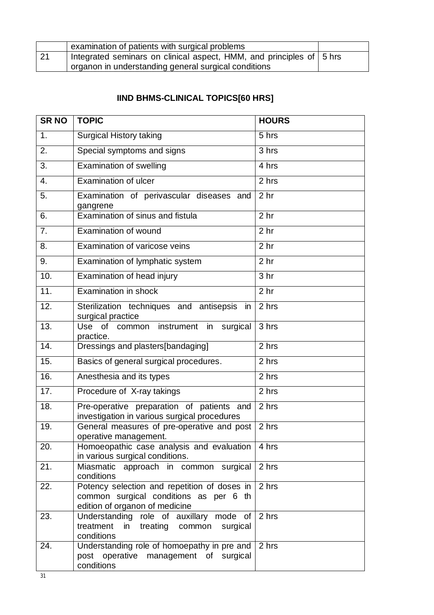|    | examination of patients with surgical problems                       |  |
|----|----------------------------------------------------------------------|--|
| 21 | Integrated seminars on clinical aspect, HMM, and principles of 5 hrs |  |
|    | organon in understanding general surgical conditions                 |  |

# **IIND BHMS-CLINICAL TOPICS[60 HRS]**

| <b>SRNO</b>       | <b>TOPIC</b>                                                                                                             | <b>HOURS</b>       |
|-------------------|--------------------------------------------------------------------------------------------------------------------------|--------------------|
| 1.                | <b>Surgical History taking</b>                                                                                           | 5 hrs              |
| 2.                | Special symptoms and signs                                                                                               | 3 hrs              |
| 3.                | <b>Examination of swelling</b>                                                                                           | 4 hrs              |
| 4.                | <b>Examination of ulcer</b>                                                                                              | 2 hrs              |
| 5.                | Examination of perivascular diseases and<br>gangrene                                                                     | 2 <sub>hr</sub>    |
| 6.                | Examination of sinus and fistula                                                                                         | 2 <sub>hr</sub>    |
| $\overline{7}$ .  | Examination of wound                                                                                                     | 2 <sub>hr</sub>    |
| 8.                | Examination of varicose veins                                                                                            | 2 <sub>hr</sub>    |
| 9.                | Examination of lymphatic system                                                                                          | 2 <sub>hr</sub>    |
| 10.               | Examination of head injury                                                                                               | 3 <sub>hr</sub>    |
| $\overline{11}$ . | <b>Examination in shock</b>                                                                                              | 2 <sub>hr</sub>    |
| 12.               | Sterilization techniques and antisepsis<br>in<br>surgical practice                                                       | 2 hrs              |
| 13.               | <b>Use</b><br>of<br>common instrument<br>in<br>surgical<br>practice.                                                     | 3 hrs              |
| 14.               | Dressings and plasters[bandaging]                                                                                        | $\overline{2}$ hrs |
| 15.               | Basics of general surgical procedures.                                                                                   | 2 hrs              |
| 16.               | Anesthesia and its types                                                                                                 | 2 hrs              |
| 17.               | Procedure of X-ray takings                                                                                               | 2 hrs              |
| 18.               | Pre-operative preparation of patients and<br>investigation in various surgical procedures                                | 2 hrs              |
| 19.               | General measures of pre-operative and post<br>operative management.                                                      | 2 hrs              |
| 20.               | Homoeopathic case analysis and evaluation<br>in various surgical conditions.                                             | 4 hrs              |
| 21.               | Miasmatic approach in common surgical<br>conditions                                                                      | 2 hrs              |
| 22.               | Potency selection and repetition of doses in<br>common surgical conditions as per 6 th<br>edition of organon of medicine | 2 hrs              |
| 23.               | Understanding role of auxillary mode of<br>treatment<br>in<br>treating common<br>surgical<br>conditions                  | 2 hrs              |
| 24.               | Understanding role of homoepathy in pre and<br>post operative management of surgical<br>conditions                       | 2 hrs              |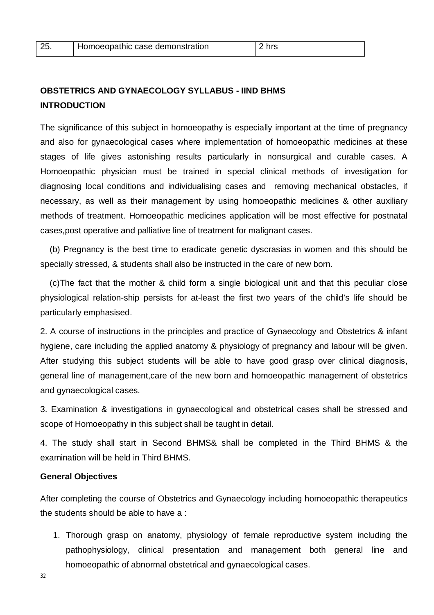| 25 | Homoeopathic case demonstration | 2 hrs |
|----|---------------------------------|-------|
|    |                                 |       |

# **OBSTETRICS AND GYNAECOLOGY SYLLABUS - IIND BHMS INTRODUCTION**

The significance of this subject in homoeopathy is especially important at the time of pregnancy and also for gynaecological cases where implementation of homoeopathic medicines at these stages of life gives astonishing results particularly in nonsurgical and curable cases. A Homoeopathic physician must be trained in special clinical methods of investigation for diagnosing local conditions and individualising cases and removing mechanical obstacles, if necessary, as well as their management by using homoeopathic medicines & other auxiliary methods of treatment. Homoeopathic medicines application will be most effective for postnatal cases,post operative and palliative line of treatment for malignant cases.

 (b) Pregnancy is the best time to eradicate genetic dyscrasias in women and this should be specially stressed, & students shall also be instructed in the care of new born.

 (c)The fact that the mother & child form a single biological unit and that this peculiar close physiological relation-ship persists for at-least the first two years of the child's life should be particularly emphasised.

2. A course of instructions in the principles and practice of Gynaecology and Obstetrics & infant hygiene, care including the applied anatomy & physiology of pregnancy and labour will be given. After studying this subject students will be able to have good grasp over clinical diagnosis, general line of management,care of the new born and homoeopathic management of obstetrics and gynaecological cases.

3. Examination & investigations in gynaecological and obstetrical cases shall be stressed and scope of Homoeopathy in this subject shall be taught in detail.

4. The study shall start in Second BHMS& shall be completed in the Third BHMS & the examination will be held in Third BHMS.

#### **General Objectives**

After completing the course of Obstetrics and Gynaecology including homoeopathic therapeutics the students should be able to have a :

1. Thorough grasp on anatomy, physiology of female reproductive system including the pathophysiology, clinical presentation and management both general line and homoeopathic of abnormal obstetrical and gynaecological cases.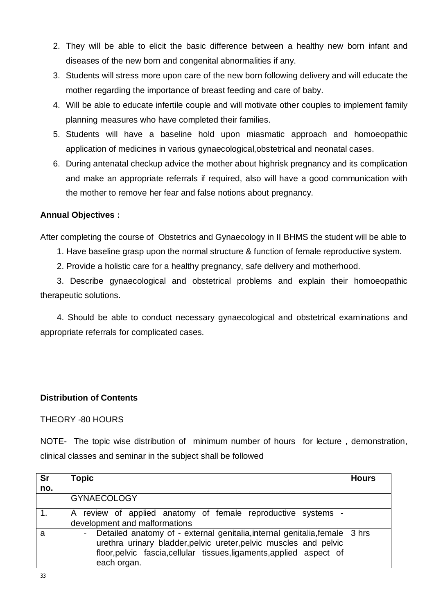- 2. They will be able to elicit the basic difference between a healthy new born infant and diseases of the new born and congenital abnormalities if any.
- 3. Students will stress more upon care of the new born following delivery and will educate the mother regarding the importance of breast feeding and care of baby.
- 4. Will be able to educate infertile couple and will motivate other couples to implement family planning measures who have completed their families.
- 5. Students will have a baseline hold upon miasmatic approach and homoeopathic application of medicines in various gynaecological,obstetrical and neonatal cases.
- 6. During antenatal checkup advice the mother about highrisk pregnancy and its complication and make an appropriate referrals if required, also will have a good communication with the mother to remove her fear and false notions about pregnancy.

#### **Annual Objectives :**

After completing the course of Obstetrics and Gynaecology in II BHMS the student will be able to

- 1. Have baseline grasp upon the normal structure & function of female reproductive system.
- 2. Provide a holistic care for a healthy pregnancy, safe delivery and motherhood.

 3. Describe gynaecological and obstetrical problems and explain their homoeopathic therapeutic solutions.

 4. Should be able to conduct necessary gynaecological and obstetrical examinations and appropriate referrals for complicated cases.

#### **Distribution of Contents**

#### THEORY -80 HOURS

NOTE- The topic wise distribution of minimum number of hours for lecture , demonstration, clinical classes and seminar in the subject shall be followed

| <b>Sr</b> | <b>Topic</b>                                                                                                                                                                                                                             | <b>Hours</b> |
|-----------|------------------------------------------------------------------------------------------------------------------------------------------------------------------------------------------------------------------------------------------|--------------|
| no.       |                                                                                                                                                                                                                                          |              |
|           | <b>GYNAECOLOGY</b>                                                                                                                                                                                                                       |              |
|           | A review of applied anatomy of female reproductive systems -<br>development and malformations                                                                                                                                            |              |
| a         | Detailed anatomy of - external genitalia, internal genitalia, female   3 hrs<br>urethra urinary bladder, pelvic ureter, pelvic muscles and pelvic<br>floor, pelvic fascia, cellular tissues, ligaments, applied aspect of<br>each organ. |              |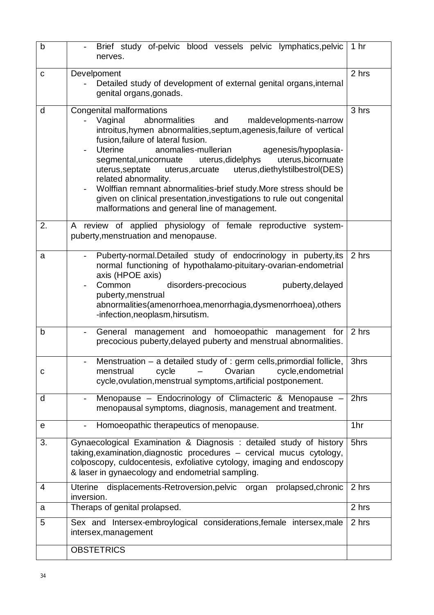| $\mathsf b$ | Brief study of-pelvic blood vessels pelvic lymphatics, pelvic<br>nerves.                                                                                                                                                                                                                                                                                                                                                                                                                                                                                                                                                        | 1 <sub>hr</sub> |
|-------------|---------------------------------------------------------------------------------------------------------------------------------------------------------------------------------------------------------------------------------------------------------------------------------------------------------------------------------------------------------------------------------------------------------------------------------------------------------------------------------------------------------------------------------------------------------------------------------------------------------------------------------|-----------------|
| $\mathbf C$ | Develpoment<br>Detailed study of development of external genital organs, internal<br>genital organs, gonads.                                                                                                                                                                                                                                                                                                                                                                                                                                                                                                                    | 2 hrs           |
| d           | Congenital malformations<br>Vaginal<br>abnormalities<br>and<br>maldevelopments-narrow<br>introitus, hymen abnormalities, septum, agenesis, failure of vertical<br>fusion, failure of lateral fusion.<br>anomalies-mullerian<br>Uterine<br>agenesis/hypoplasia-<br>segmental, unicornuate uterus, didelphys<br>uterus, bicornuate<br>uterus, arcuate uterus, diethyl stilbestrol (DES)<br>uterus, septate<br>related abnormality.<br>Wolffian remnant abnormalities-brief study. More stress should be<br>given on clinical presentation, investigations to rule out congenital<br>malformations and general line of management. | 3 hrs           |
| 2.          | A review of applied physiology of female reproductive system-<br>puberty, menstruation and menopause.                                                                                                                                                                                                                                                                                                                                                                                                                                                                                                                           |                 |
| a           | Puberty-normal.Detailed study of endocrinology in puberty, its<br>normal functioning of hypothalamo-pituitary-ovarian-endometrial<br>axis (HPOE axis)<br>disorders-precocious<br>Common<br>puberty, delayed<br>puberty, menstrual<br>abnormalities(amenorrhoea, menorrhagia, dysmenorrhoea), others<br>-infection, neoplasm, hirsutism.                                                                                                                                                                                                                                                                                         | 2 hrs           |
| b           | management and homoeopathic management for<br>General<br>precocious puberty, delayed puberty and menstrual abnormalities.                                                                                                                                                                                                                                                                                                                                                                                                                                                                                                       | 2 hrs           |
| C           | Menstruation - a detailed study of : germ cells, primordial follicle,<br>$\overline{\phantom{0}}$<br>menstrual<br>cycle<br>Ovarian<br>cycle, endometrial<br>cycle, ovulation, menstrual symptoms, artificial postponement.                                                                                                                                                                                                                                                                                                                                                                                                      | 3hrs            |
| d           | Menopause - Endocrinology of Climacteric & Menopause -<br>menopausal symptoms, diagnosis, management and treatment.                                                                                                                                                                                                                                                                                                                                                                                                                                                                                                             | 2hrs            |
| е           | Homoeopathic therapeutics of menopause.                                                                                                                                                                                                                                                                                                                                                                                                                                                                                                                                                                                         | 1hr             |
| 3.          | Gynaecological Examination & Diagnosis: detailed study of history<br>taking, examination, diagnostic procedures - cervical mucus cytology,<br>colposcopy, culdocentesis, exfoliative cytology, imaging and endoscopy<br>& laser in gynaecology and endometrial sampling.                                                                                                                                                                                                                                                                                                                                                        | 5hrs            |
| 4           | displacements-Retroversion, pelvic organ<br>prolapsed, chronic<br><b>Uterine</b><br>inversion.                                                                                                                                                                                                                                                                                                                                                                                                                                                                                                                                  | 2 hrs           |
| a           | Theraps of genital prolapsed.                                                                                                                                                                                                                                                                                                                                                                                                                                                                                                                                                                                                   | 2 hrs           |
| 5           | Sex and Intersex-embroylogical considerations, female intersex, male<br>intersex, management                                                                                                                                                                                                                                                                                                                                                                                                                                                                                                                                    | 2 hrs           |
|             | <b>OBSTETRICS</b>                                                                                                                                                                                                                                                                                                                                                                                                                                                                                                                                                                                                               |                 |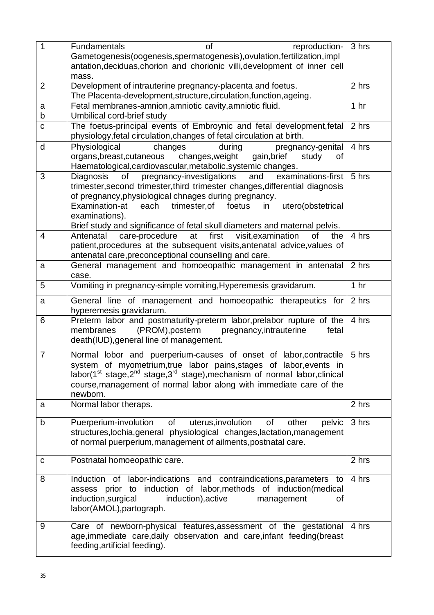| $\overline{1}$ | <b>Fundamentals</b><br>reproduction-<br>of                                                                                        | 3 hrs           |
|----------------|-----------------------------------------------------------------------------------------------------------------------------------|-----------------|
|                | Gametogenesis(oogenesis, spermatogenesis), ovulation, fertilization, impl                                                         |                 |
|                | antation, deciduas, chorion and chorionic villi, development of inner cell                                                        |                 |
|                | mass.                                                                                                                             |                 |
| $\overline{2}$ | Development of intrauterine pregnancy-placenta and foetus.<br>The Placenta-development, structure, circulation, function, ageing. | 2 hrs           |
| a              | Fetal membranes-amnion, amniotic cavity, amniotic fluid.                                                                          | 1 <sub>hr</sub> |
| b              | Umbilical cord-brief study                                                                                                        |                 |
| $\mathbf c$    | The foetus-principal events of Embroynic and fetal development, fetal                                                             | 2 hrs           |
|                | physiology, fetal circulation, changes of fetal circulation at birth.                                                             |                 |
| d              | Physiological<br>changes<br>during<br>pregnancy-genital                                                                           | 4 hrs           |
|                | organs, breast, cutaneous changes, weight<br>gain, brief<br>study<br>οf                                                           |                 |
|                | Haematological, cardiovascular, metabolic, systemic changes.                                                                      |                 |
| 3              | examinations-first<br>and<br>of<br>pregnancy-investigations<br>Diagnosis                                                          | 5 hrs           |
|                | trimester, second trimester, third trimester changes, differential diagnosis                                                      |                 |
|                | of pregnancy, physiological chnages during pregnancy.<br>Examination-at<br>each                                                   |                 |
|                | trimester, of<br>foetus<br>utero(obstetrical<br>in<br>examinations).                                                              |                 |
|                | Brief study and significance of fetal skull diameters and maternal pelvis.                                                        |                 |
| 4              | first<br>visit, examination<br>Antenatal<br>care-procedure<br>at<br>of<br>the                                                     | 4 hrs           |
|                | patient, procedures at the subsequent visits, antenatal advice, values of                                                         |                 |
|                | antenatal care, preconceptional counselling and care.                                                                             |                 |
| a              | General management and homoeopathic management in antenatal                                                                       | 2 hrs           |
|                | case.                                                                                                                             |                 |
| 5              | Vomiting in pregnancy-simple vomiting, Hyperemesis gravidarum.                                                                    | 1 <sub>hr</sub> |
| a              | General line of management and homoeopathic therapeutics for                                                                      | 2 hrs           |
| 6              | hyperemesis gravidarum.<br>Preterm labor and postmaturity-preterm labor, prelabor rupture of the                                  | 4 hrs           |
|                | (PROM), posterm<br>membranes<br>pregnancy, intrauterine<br>fetal                                                                  |                 |
|                | death(IUD), general line of management.                                                                                           |                 |
| $\overline{7}$ | Normal lobor and puerperium-causes of onset of labor, contractile                                                                 | 5 hrs           |
|                | system of myometrium, true labor pains, stages of labor, events in                                                                |                 |
|                | labor(1 <sup>st</sup> stage,2 <sup>nd</sup> stage,3 <sup>rd</sup> stage), mechanism of normal labor, clinical                     |                 |
|                | course, management of normal labor along with immediate care of the                                                               |                 |
|                | newborn.                                                                                                                          |                 |
| a              | Normal labor theraps.                                                                                                             | 2 hrs           |
| b              | Puerperium-involution of<br>uterus, involution<br>of<br>other<br>pelvic                                                           | 3 hrs           |
|                | structures, lochia, general physiological changes, lactation, management                                                          |                 |
|                | of normal puerperium, management of ailments, postnatal care.                                                                     |                 |
| С              | Postnatal homoeopathic care.                                                                                                      | 2 hrs           |
|                |                                                                                                                                   |                 |
| 8              | Induction of labor-indications and contraindications, parameters<br>to                                                            | 4 hrs           |
|                | assess prior to induction of labor, methods of induction (medical<br>induction, surgical<br>induction), active management         |                 |
|                | οf<br>labor(AMOL), partograph.                                                                                                    |                 |
|                |                                                                                                                                   |                 |
| 9              | Care of newborn-physical features, assessment of the gestational                                                                  | 4 hrs           |
|                | age, immediate care, daily observation and care, infant feeding (breast                                                           |                 |
|                | feeding, artificial feeding).                                                                                                     |                 |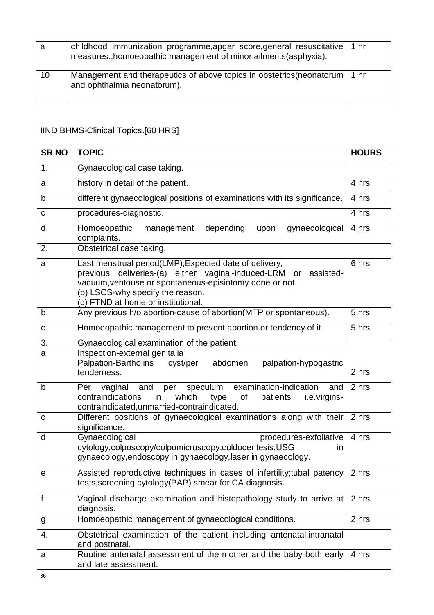| а  | childhood immunization programme, apgar score, general resuscitative<br>measures., homoeopathic management of minor ailments (asphyxia). | 1 hr |
|----|------------------------------------------------------------------------------------------------------------------------------------------|------|
| 10 | Management and therapeutics of above topics in obstetrics (neonatorum   1 hr<br>and ophthalmia neonatorum).                              |      |

# IIND BHMS-Clinical Topics.[60 HRS]

| <b>SR NO</b>   | <b>TOPIC</b>                                                                                                                                                                                                                                                         | <b>HOURS</b>       |
|----------------|----------------------------------------------------------------------------------------------------------------------------------------------------------------------------------------------------------------------------------------------------------------------|--------------------|
| 1.             | Gynaecological case taking.                                                                                                                                                                                                                                          |                    |
| a              | history in detail of the patient.                                                                                                                                                                                                                                    | 4 hrs              |
| b              | different gynaecological positions of examinations with its significance.                                                                                                                                                                                            | $\overline{4}$ hrs |
| C              | procedures-diagnostic.                                                                                                                                                                                                                                               | 4 hrs              |
| d              | Homoeopathic<br>depending<br>gynaecological<br>management<br>upon<br>complaints.                                                                                                                                                                                     | 4 hrs              |
| 2.             | Obstetrical case taking.                                                                                                                                                                                                                                             |                    |
| a              | Last menstrual period(LMP), Expected date of delivery,<br>previous deliveries-(a) either vaginal-induced-LRM<br>assisted-<br>or<br>vacuum, ventouse or spontaneous-episiotomy done or not.<br>(b) LSCS-why specify the reason.<br>(c) FTND at home or institutional. | 6 hrs              |
| b              | Any previous h/o abortion-cause of abortion(MTP or spontaneous).                                                                                                                                                                                                     | 5 hrs              |
| C              | Homoeopathic management to prevent abortion or tendency of it.                                                                                                                                                                                                       | 5 hrs              |
| 3.             | Gynaecological examination of the patient.                                                                                                                                                                                                                           |                    |
| a              | Inspection-external genitalia<br>Palpation-Bartholins cyst/per<br>abdomen<br>palpation-hypogastric<br>tenderness.                                                                                                                                                    | 2 hrs              |
| $\mathsf b$    | vaginal and<br>speculum<br>examination-indication<br>Per<br>per<br>and<br>contraindications<br>which<br>of<br>type<br>patients<br>in<br><i>i.e.virgins-</i><br>contraindicated, unmarried-contraindicated.                                                           | 2 hrs              |
| $\mathbf C$    | Different positions of gynaecological examinations along with their<br>significance.                                                                                                                                                                                 | 2 hrs              |
| d              | Gynaecological<br>procedures-exfoliative<br>cytology,colposcopy/colpomicroscopy,culdocentesis,USG<br>$\mathsf{I}$<br>gynaecology, endoscopy in gynaecology, laser in gynaecology.                                                                                    | 4 hrs              |
| $\mathbf{e}$   | Assisted reproductive techniques in cases of infertility; tubal patency 2 hrs<br>tests, screening cytology (PAP) smear for CA diagnosis.                                                                                                                             |                    |
| $\overline{f}$ | Vaginal discharge examination and histopathology study to arrive at<br>diagnosis.                                                                                                                                                                                    | 2 hrs              |
| g              | Homoeopathic management of gynaecological conditions.                                                                                                                                                                                                                | 2 hrs              |
| 4.             | Obstetrical examination of the patient including antenatal, intranatal<br>and postnatal.                                                                                                                                                                             |                    |
| a              | Routine antenatal assessment of the mother and the baby both early<br>and late assessment.                                                                                                                                                                           | 4 hrs              |